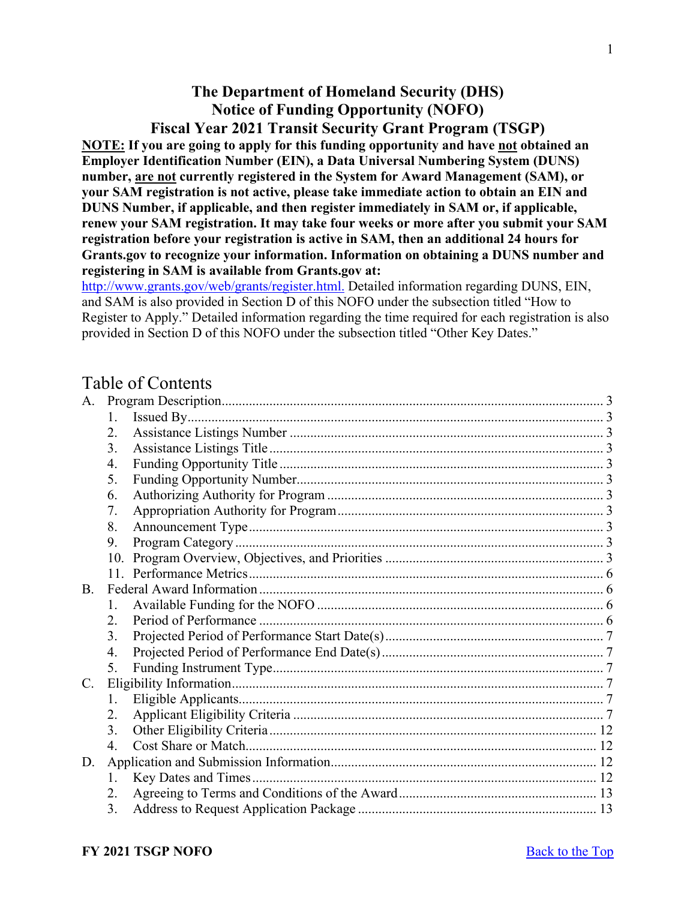# **The Department of Homeland Security (DHS) Notice of Funding Opportunity (NOFO)**

<span id="page-0-0"></span>**Fiscal Year 2021 Transit Security Grant Program (TSGP) NOTE: If you are going to apply for this funding opportunity and have not obtained an Employer Identification Number (EIN), a Data Universal Numbering System (DUNS) number, are not currently registered in the System for Award Management (SAM), or your SAM registration is not active, please take immediate action to obtain an EIN and DUNS Number, if applicable, and then register immediately in SAM or, if applicable, renew your SAM registration. It may take four weeks or more after you submit your SAM registration before your registration is active in SAM, then an additional 24 hours for Grants.gov to recognize your information. Information on obtaining a DUNS number and registering in SAM is available from Grants.gov at:**

[http://www.grants.gov/web/grants/register.html.](http://www.grants.gov/web/grants/register.html) Detailed information regarding DUNS, EIN, and SAM is also provided in Section D of this NOFO under the subsection titled "How to Register to Apply." Detailed information regarding the time required for each registration is also provided in Section D of this NOFO under the subsection titled "Other Key Dates."

# Table of Contents

| A.        |                  |  |
|-----------|------------------|--|
|           | $1_{-}$          |  |
|           | 2.               |  |
|           | 3.               |  |
|           | 4.               |  |
|           | 5.               |  |
|           | 6.               |  |
|           | 7.               |  |
|           | 8.               |  |
|           | 9.               |  |
|           | 10.              |  |
|           |                  |  |
| <b>B.</b> |                  |  |
|           | 1.               |  |
|           | 2.               |  |
|           | 3.               |  |
|           | 4.               |  |
|           | 5.               |  |
| C.        |                  |  |
|           | 1.               |  |
|           | 2.               |  |
|           | 3.               |  |
|           | $\overline{4}$ . |  |
| D.        |                  |  |
|           | 1.               |  |
|           | 2.               |  |
|           | 3.               |  |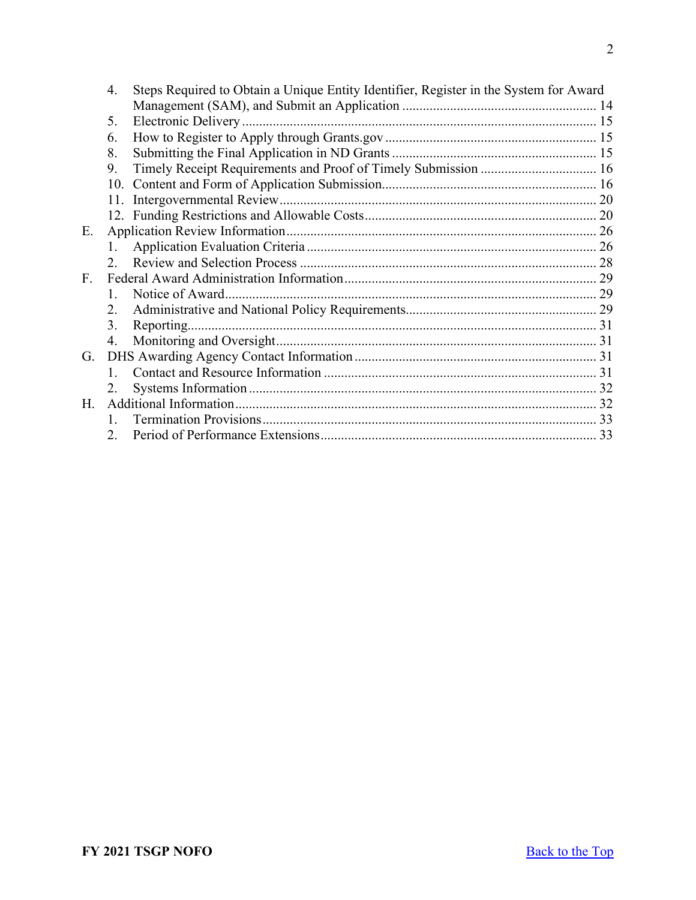|             | 4.           | Steps Required to Obtain a Unique Entity Identifier, Register in the System for Award |  |  |
|-------------|--------------|---------------------------------------------------------------------------------------|--|--|
|             |              |                                                                                       |  |  |
|             | 5.           |                                                                                       |  |  |
|             | 6.           |                                                                                       |  |  |
|             | 8.           |                                                                                       |  |  |
|             | 9.           | Timely Receipt Requirements and Proof of Timely Submission  16                        |  |  |
|             | 10.          |                                                                                       |  |  |
|             |              |                                                                                       |  |  |
|             |              |                                                                                       |  |  |
| Е.          |              |                                                                                       |  |  |
|             |              |                                                                                       |  |  |
|             |              |                                                                                       |  |  |
| $F_{\cdot}$ |              |                                                                                       |  |  |
|             | $\mathbf{1}$ |                                                                                       |  |  |
|             | 2.           |                                                                                       |  |  |
|             | 3.           |                                                                                       |  |  |
|             | 4.           |                                                                                       |  |  |
| G.          |              |                                                                                       |  |  |
|             |              |                                                                                       |  |  |
|             |              |                                                                                       |  |  |
| Н.          |              |                                                                                       |  |  |
|             |              |                                                                                       |  |  |
|             | 2.           |                                                                                       |  |  |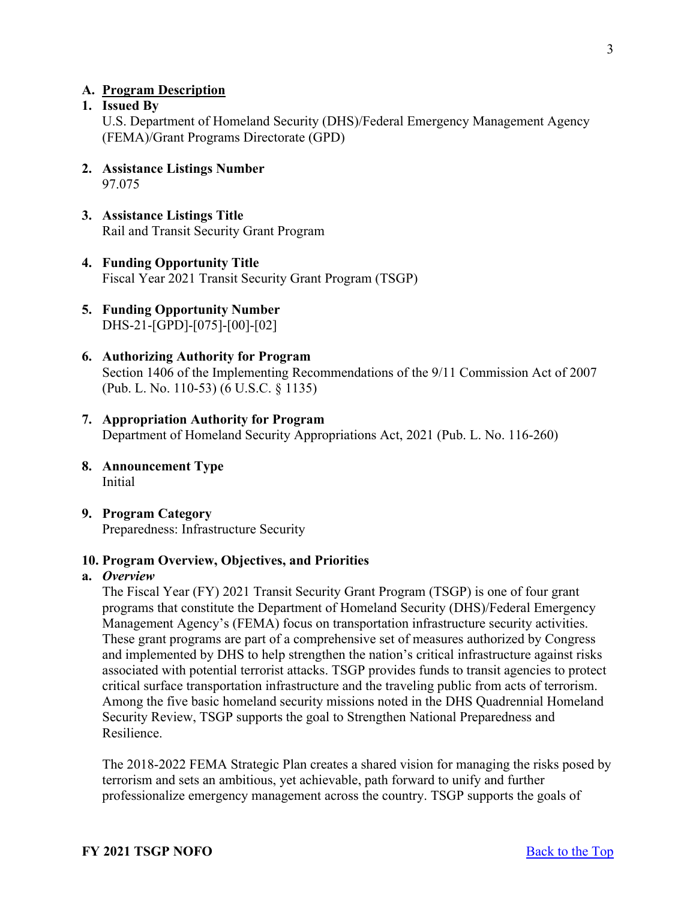#### <span id="page-2-0"></span>**A. Program Description**

### <span id="page-2-1"></span>**1. Issued By**

U.S. Department of Homeland Security (DHS)/Federal Emergency Management Agency (FEMA)/Grant Programs Directorate (GPD)

- <span id="page-2-2"></span>**2. Assistance Listings Number** 97.075
- <span id="page-2-3"></span>**3. Assistance Listings Title** Rail and Transit Security Grant Program
- <span id="page-2-4"></span>**4. Funding Opportunity Title** Fiscal Year 2021 Transit Security Grant Program (TSGP)
- <span id="page-2-5"></span>**5. Funding Opportunity Number** DHS-21-[GPD]-[075]-[00]-[02]
- <span id="page-2-6"></span>**6. Authorizing Authority for Program** Section 1406 of the Implementing Recommendations of the 9/11 Commission Act of 2007 (Pub. L. No. 110-53) (6 U.S.C. § 1135)
- <span id="page-2-7"></span>**7. Appropriation Authority for Program** Department of Homeland Security Appropriations Act, 2021 (Pub. L. No. 116-260)
- <span id="page-2-8"></span>**8. Announcement Type** Initial
- <span id="page-2-9"></span>**9. Program Category** Preparedness: Infrastructure Security

#### <span id="page-2-10"></span>**10. Program Overview, Objectives, and Priorities**

#### **a.** *Overview*

The Fiscal Year (FY) 2021 Transit Security Grant Program (TSGP) is one of four grant programs that constitute the Department of Homeland Security (DHS)/Federal Emergency Management Agency's (FEMA) focus on transportation infrastructure security activities. These grant programs are part of a comprehensive set of measures authorized by Congress and implemented by DHS to help strengthen the nation's critical infrastructure against risks associated with potential terrorist attacks. TSGP provides funds to transit agencies to protect critical surface transportation infrastructure and the traveling public from acts of terrorism. Among the five basic homeland security missions noted in the DHS Quadrennial Homeland Security Review, TSGP supports the goal to Strengthen National Preparedness and Resilience.

The 2018-2022 FEMA Strategic Plan creates a shared vision for managing the risks posed by terrorism and sets an ambitious, yet achievable, path forward to unify and further professionalize emergency management across the country. TSGP supports the goals of

3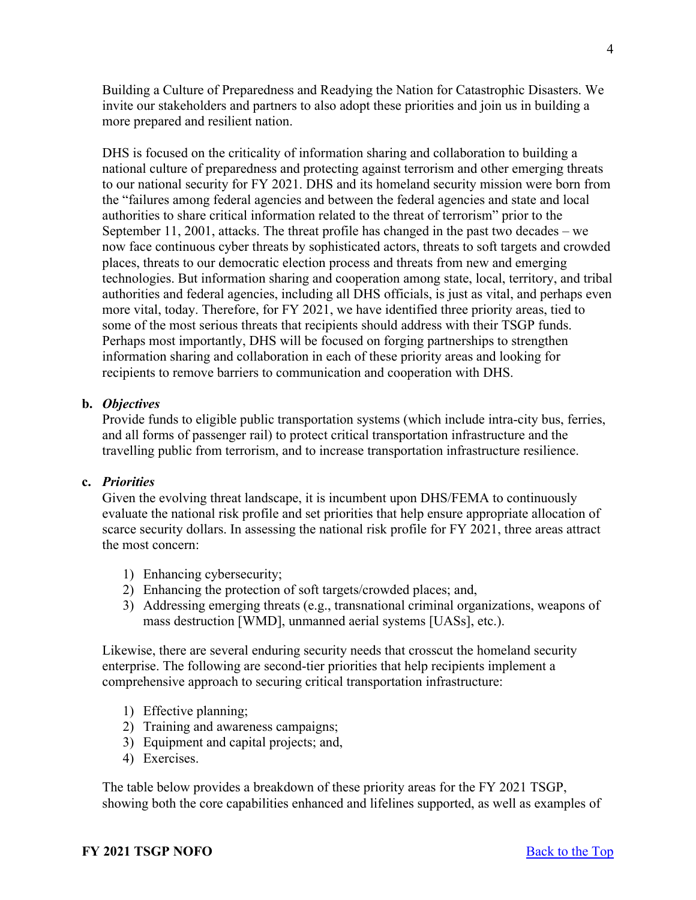Building a Culture of Preparedness and Readying the Nation for Catastrophic Disasters. We invite our stakeholders and partners to also adopt these priorities and join us in building a more prepared and resilient nation.

DHS is focused on the criticality of information sharing and collaboration to building a national culture of preparedness and protecting against terrorism and other emerging threats to our national security for FY 2021. DHS and its homeland security mission were born from the "failures among federal agencies and between the federal agencies and state and local authorities to share critical information related to the threat of terrorism" prior to the September 11, 2001, attacks. The threat profile has changed in the past two decades – we now face continuous cyber threats by sophisticated actors, threats to soft targets and crowded places, threats to our democratic election process and threats from new and emerging technologies. But information sharing and cooperation among state, local, territory, and tribal authorities and federal agencies, including all DHS officials, is just as vital, and perhaps even more vital, today. Therefore, for FY 2021, we have identified three priority areas, tied to some of the most serious threats that recipients should address with their TSGP funds. Perhaps most importantly, DHS will be focused on forging partnerships to strengthen information sharing and collaboration in each of these priority areas and looking for recipients to remove barriers to communication and cooperation with DHS.

#### **b.** *Objectives*

Provide funds to eligible public transportation systems (which include intra-city bus, ferries, and all forms of passenger rail) to protect critical transportation infrastructure and the travelling public from terrorism, and to increase transportation infrastructure resilience.

#### **c.** *Priorities*

Given the evolving threat landscape, it is incumbent upon DHS/FEMA to continuously evaluate the national risk profile and set priorities that help ensure appropriate allocation of scarce security dollars. In assessing the national risk profile for FY 2021, three areas attract the most concern:

- 1) Enhancing cybersecurity;
- 2) Enhancing the protection of soft targets/crowded places; and,
- 3) Addressing emerging threats (e.g., transnational criminal organizations, weapons of mass destruction [WMD], unmanned aerial systems [UASs], etc.).

Likewise, there are several enduring security needs that crosscut the homeland security enterprise. The following are second-tier priorities that help recipients implement a comprehensive approach to securing critical transportation infrastructure:

- 1) Effective planning;
- 2) Training and awareness campaigns;
- 3) Equipment and capital projects; and,
- 4) Exercises.

The table below provides a breakdown of these priority areas for the FY 2021 TSGP, showing both the core capabilities enhanced and lifelines supported, as well as examples of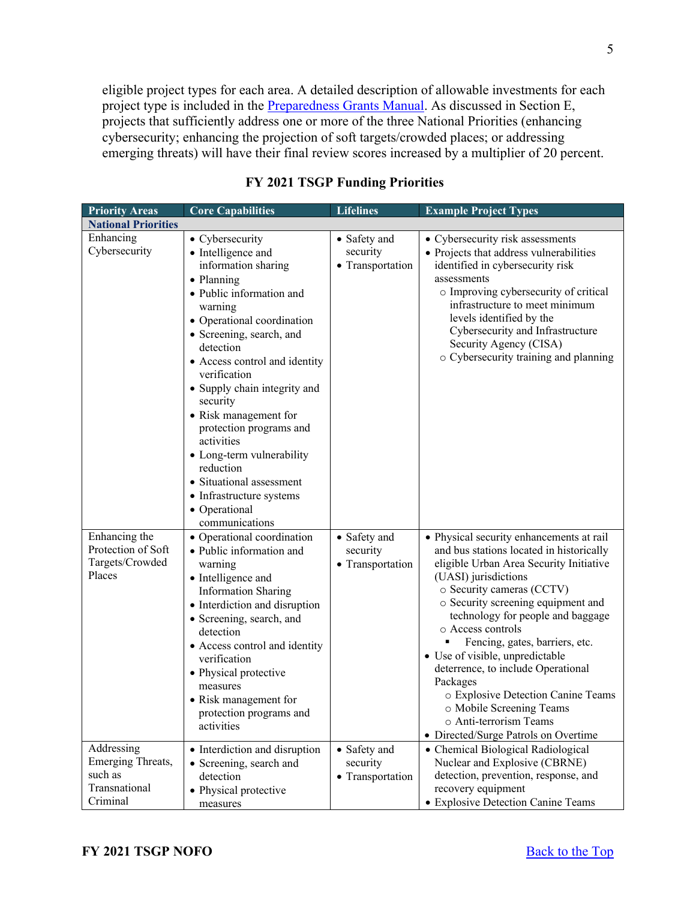eligible project types for each area. A detailed description of allowable investments for each project type is included in the **Preparedness Grants Manual**. As discussed in Section E, projects that sufficiently address one or more of the three National Priorities (enhancing cybersecurity; enhancing the projection of soft targets/crowded places; or addressing emerging threats) will have their final review scores increased by a multiplier of 20 percent.

| <b>Priority Areas</b>                                                   | <b>Core Capabilities</b>                                                                                                                                                                                                                                                                                                                                                                                                                                                                     | <b>Lifelines</b>                             | <b>Example Project Types</b>                                                                                                                                                                                                                                                                                                                                                                                                                                                                                                                    |  |  |
|-------------------------------------------------------------------------|----------------------------------------------------------------------------------------------------------------------------------------------------------------------------------------------------------------------------------------------------------------------------------------------------------------------------------------------------------------------------------------------------------------------------------------------------------------------------------------------|----------------------------------------------|-------------------------------------------------------------------------------------------------------------------------------------------------------------------------------------------------------------------------------------------------------------------------------------------------------------------------------------------------------------------------------------------------------------------------------------------------------------------------------------------------------------------------------------------------|--|--|
| <b>National Priorities</b>                                              |                                                                                                                                                                                                                                                                                                                                                                                                                                                                                              |                                              |                                                                                                                                                                                                                                                                                                                                                                                                                                                                                                                                                 |  |  |
| Enhancing<br>Cybersecurity                                              | • Cybersecurity<br>• Intelligence and<br>information sharing<br>• Planning<br>· Public information and<br>warning<br>• Operational coordination<br>• Screening, search, and<br>detection<br>• Access control and identity<br>verification<br>• Supply chain integrity and<br>security<br>• Risk management for<br>protection programs and<br>activities<br>• Long-term vulnerability<br>reduction<br>• Situational assessment<br>• Infrastructure systems<br>• Operational<br>communications | • Safety and<br>security<br>• Transportation | • Cybersecurity risk assessments<br>• Projects that address vulnerabilities<br>identified in cybersecurity risk<br>assessments<br>o Improving cybersecurity of critical<br>infrastructure to meet minimum<br>levels identified by the<br>Cybersecurity and Infrastructure<br>Security Agency (CISA)<br>o Cybersecurity training and planning                                                                                                                                                                                                    |  |  |
| Enhancing the<br>Protection of Soft<br>Targets/Crowded<br>Places        | • Operational coordination<br>· Public information and<br>warning<br>• Intelligence and<br><b>Information Sharing</b><br>• Interdiction and disruption<br>• Screening, search, and<br>detection<br>• Access control and identity<br>verification<br>• Physical protective<br>measures<br>• Risk management for<br>protection programs and<br>activities                                                                                                                                      | • Safety and<br>security<br>• Transportation | • Physical security enhancements at rail<br>and bus stations located in historically<br>eligible Urban Area Security Initiative<br>(UASI) jurisdictions<br>o Security cameras (CCTV)<br>o Security screening equipment and<br>technology for people and baggage<br>o Access controls<br>Fencing, gates, barriers, etc.<br>• Use of visible, unpredictable<br>deterrence, to include Operational<br>Packages<br>o Explosive Detection Canine Teams<br>o Mobile Screening Teams<br>o Anti-terrorism Teams<br>• Directed/Surge Patrols on Overtime |  |  |
| Addressing<br>Emerging Threats,<br>such as<br>Transnational<br>Criminal | • Interdiction and disruption<br>• Screening, search and<br>detection<br>• Physical protective<br>measures                                                                                                                                                                                                                                                                                                                                                                                   | • Safety and<br>security<br>• Transportation | • Chemical Biological Radiological<br>Nuclear and Explosive (CBRNE)<br>detection, prevention, response, and<br>recovery equipment<br>• Explosive Detection Canine Teams                                                                                                                                                                                                                                                                                                                                                                         |  |  |

#### **FY 2021 TSGP Funding Priorities**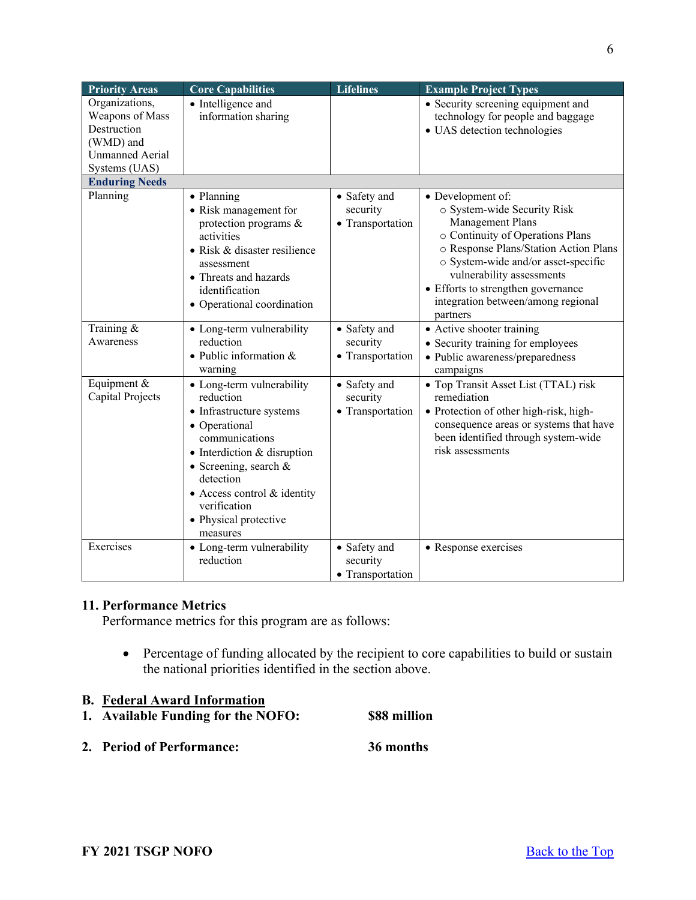| <b>Priority Areas</b>  | <b>Core Capabilities</b>            | <b>Lifelines</b>         | <b>Example Project Types</b>                     |
|------------------------|-------------------------------------|--------------------------|--------------------------------------------------|
| Organizations,         | • Intelligence and                  |                          | • Security screening equipment and               |
| Weapons of Mass        | information sharing                 |                          | technology for people and baggage                |
| Destruction            |                                     |                          | · UAS detection technologies                     |
| (WMD) and              |                                     |                          |                                                  |
| <b>Unmanned Aerial</b> |                                     |                          |                                                  |
| Systems (UAS)          |                                     |                          |                                                  |
| <b>Enduring Needs</b>  |                                     |                          |                                                  |
| Planning               | • Planning<br>• Risk management for | • Safety and<br>security | • Development of:<br>o System-wide Security Risk |
|                        | protection programs &               | • Transportation         | Management Plans                                 |
|                        | activities                          |                          | o Continuity of Operations Plans                 |
|                        | · Risk & disaster resilience        |                          | o Response Plans/Station Action Plans            |
|                        | assessment                          |                          | o System-wide and/or asset-specific              |
|                        | • Threats and hazards               |                          | vulnerability assessments                        |
|                        | identification                      |                          | • Efforts to strengthen governance               |
|                        | • Operational coordination          |                          | integration between/among regional               |
|                        |                                     |                          | partners                                         |
| Training $&$           | • Long-term vulnerability           | • Safety and             | • Active shooter training                        |
| Awareness              | reduction                           | security                 | • Security training for employees                |
|                        | $\bullet$ Public information &      | • Transportation         | · Public awareness/preparedness                  |
|                        | warning                             |                          | campaigns                                        |
| Equipment &            | • Long-term vulnerability           | • Safety and             | • Top Transit Asset List (TTAL) risk             |
| Capital Projects       | reduction                           | security                 | remediation                                      |
|                        | • Infrastructure systems            | • Transportation         | · Protection of other high-risk, high-           |
|                        | • Operational                       |                          | consequence areas or systems that have           |
|                        | communications                      |                          | been identified through system-wide              |
|                        | • Interdiction & disruption         |                          | risk assessments                                 |
|                        | • Screening, search $&$             |                          |                                                  |
|                        | detection                           |                          |                                                  |
|                        | • Access control & identity         |                          |                                                  |
|                        | verification                        |                          |                                                  |
|                        | • Physical protective               |                          |                                                  |
|                        | measures                            |                          |                                                  |
| Exercises              | • Long-term vulnerability           | • Safety and             | • Response exercises                             |
|                        | reduction                           | security                 |                                                  |
|                        |                                     | • Transportation         |                                                  |

# <span id="page-5-0"></span>**11. Performance Metrics**

Performance metrics for this program are as follows:

• Percentage of funding allocated by the recipient to core capabilities to build or sustain the national priorities identified in the section above.

### <span id="page-5-1"></span>**B. Federal Award Information**

- <span id="page-5-2"></span>**1. Available Funding for the NOFO: \$88 million**
- <span id="page-5-3"></span>**2. Period of Performance: 36 months**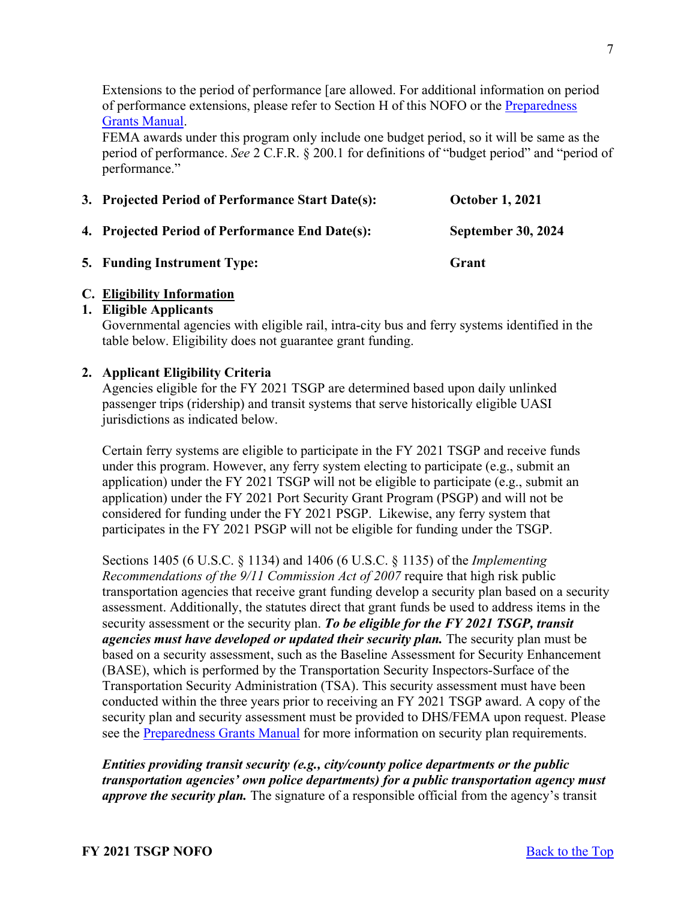Extensions to the period of performance [are allowed. For additional information on period of performance extensions, please refer to Section H of this NOFO or the Preparedness [Grants Manual.](https://www.fema.gov/media-library/assets/documents/178291)

FEMA awards under this program only include one budget period, so it will be same as the period of performance. *See* 2 C.F.R. § 200.1 for definitions of "budget period" and "period of performance."

<span id="page-6-1"></span><span id="page-6-0"></span>

| 3. Projected Period of Performance Start Date(s): | <b>October 1, 2021</b>    |
|---------------------------------------------------|---------------------------|
| 4. Projected Period of Performance End Date(s):   | <b>September 30, 2024</b> |
| <b>5. Funding Instrument Type:</b>                | Grant                     |

# <span id="page-6-3"></span><span id="page-6-2"></span>**C. Eligibility Information**

#### <span id="page-6-4"></span>**1. Eligible Applicants**

Governmental agencies with eligible rail, intra-city bus and ferry systems identified in the table below. Eligibility does not guarantee grant funding.

#### <span id="page-6-5"></span>**2. Applicant Eligibility Criteria**

Agencies eligible for the FY 2021 TSGP are determined based upon daily unlinked passenger trips (ridership) and transit systems that serve historically eligible UASI jurisdictions as indicated below.

Certain ferry systems are eligible to participate in the FY 2021 TSGP and receive funds under this program. However, any ferry system electing to participate (e.g., submit an application) under the FY 2021 TSGP will not be eligible to participate (e.g., submit an application) under the FY 2021 Port Security Grant Program (PSGP) and will not be considered for funding under the FY 2021 PSGP. Likewise, any ferry system that participates in the FY 2021 PSGP will not be eligible for funding under the TSGP.

Sections 1405 (6 U.S.C. § 1134) and 1406 (6 U.S.C. § 1135) of the *Implementing Recommendations of the 9/11 Commission Act of 2007* require that high risk public transportation agencies that receive grant funding develop a security plan based on a security assessment. Additionally, the statutes direct that grant funds be used to address items in the security assessment or the security plan. *To be eligible for the FY 2021 TSGP, transit agencies must have developed or updated their security plan.* The security plan must be based on a security assessment, such as the Baseline Assessment for Security Enhancement (BASE), which is performed by the Transportation Security Inspectors-Surface of the Transportation Security Administration (TSA). This security assessment must have been conducted within the three years prior to receiving an FY 2021 TSGP award. A copy of the security plan and security assessment must be provided to DHS/FEMA upon request. Please see the [Preparedness Grants Manual](https://www.fema.gov/media-library/assets/documents/178291) for more information on security plan requirements.

*Entities providing transit security (e.g., city/county police departments or the public transportation agencies' own police departments) for a public transportation agency must approve the security plan.* The signature of a responsible official from the agency's transit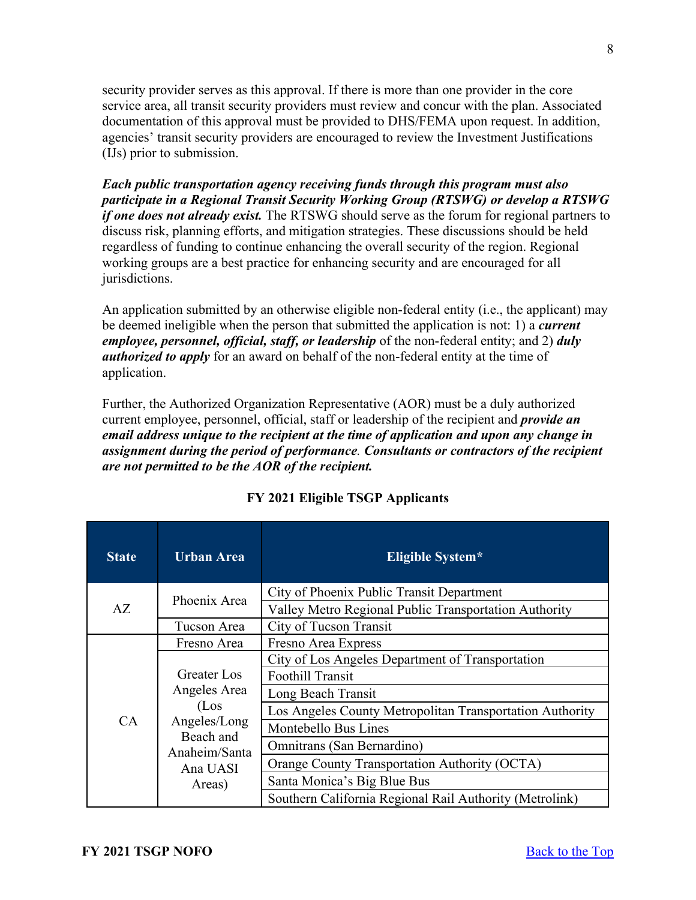security provider serves as this approval. If there is more than one provider in the core service area, all transit security providers must review and concur with the plan. Associated documentation of this approval must be provided to DHS/FEMA upon request. In addition, agencies' transit security providers are encouraged to review the Investment Justifications (IJs) prior to submission.

*Each public transportation agency receiving funds through this program must also participate in a Regional Transit Security Working Group (RTSWG) or develop a RTSWG if one does not already exist.* The RTSWG should serve as the forum for regional partners to discuss risk, planning efforts, and mitigation strategies. These discussions should be held regardless of funding to continue enhancing the overall security of the region. Regional working groups are a best practice for enhancing security and are encouraged for all jurisdictions.

An application submitted by an otherwise eligible non-federal entity (i.e., the applicant) may be deemed ineligible when the person that submitted the application is not: 1) a *current employee, personnel, official, staff, or leadership* of the non-federal entity; and 2) *duly authorized to apply* for an award on behalf of the non-federal entity at the time of application.

Further, the Authorized Organization Representative (AOR) must be a duly authorized current employee, personnel, official, staff or leadership of the recipient and *provide an email address unique to the recipient at the time of application and upon any change in assignment during the period of performance. Consultants or contractors of the recipient are not permitted to be the AOR of the recipient.* 

| <b>State</b> | <b>Urban Area</b>                                                                                       | Eligible System*                                         |
|--------------|---------------------------------------------------------------------------------------------------------|----------------------------------------------------------|
|              | Phoenix Area                                                                                            | City of Phoenix Public Transit Department                |
| AZ           |                                                                                                         | Valley Metro Regional Public Transportation Authority    |
|              | Tucson Area                                                                                             | City of Tucson Transit                                   |
|              | Fresno Area                                                                                             | Fresno Area Express                                      |
|              | Greater Los<br>Angeles Area<br>(Los<br>Angeles/Long<br>Beach and<br>Anaheim/Santa<br>Ana UASI<br>Areas) | City of Los Angeles Department of Transportation         |
|              |                                                                                                         | <b>Foothill Transit</b>                                  |
|              |                                                                                                         | Long Beach Transit                                       |
|              |                                                                                                         | Los Angeles County Metropolitan Transportation Authority |
| CA           |                                                                                                         | Montebello Bus Lines                                     |
|              |                                                                                                         | Omnitrans (San Bernardino)                               |
|              |                                                                                                         | Orange County Transportation Authority (OCTA)            |
|              |                                                                                                         | Santa Monica's Big Blue Bus                              |
|              |                                                                                                         | Southern California Regional Rail Authority (Metrolink)  |

### **FY 2021 Eligible TSGP Applicants**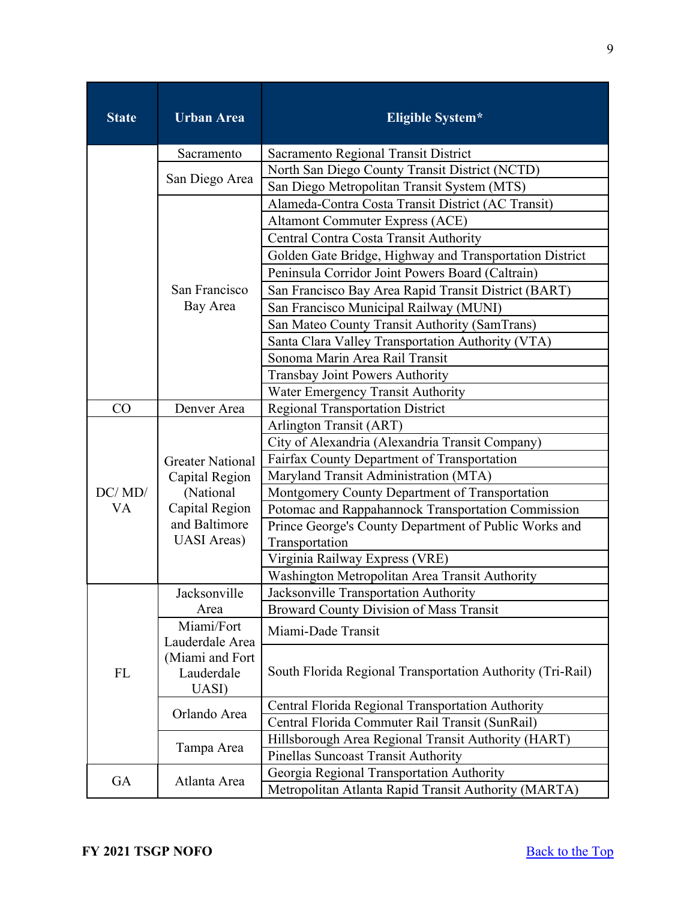| <b>State</b> | <b>Urban Area</b>                                                                                               | <b>Eligible System*</b>                                    |
|--------------|-----------------------------------------------------------------------------------------------------------------|------------------------------------------------------------|
|              | Sacramento                                                                                                      | Sacramento Regional Transit District                       |
|              |                                                                                                                 | North San Diego County Transit District (NCTD)             |
|              | San Diego Area                                                                                                  | San Diego Metropolitan Transit System (MTS)                |
|              |                                                                                                                 | Alameda-Contra Costa Transit District (AC Transit)         |
|              |                                                                                                                 | <b>Altamont Commuter Express (ACE)</b>                     |
|              |                                                                                                                 | Central Contra Costa Transit Authority                     |
|              |                                                                                                                 | Golden Gate Bridge, Highway and Transportation District    |
|              |                                                                                                                 | Peninsula Corridor Joint Powers Board (Caltrain)           |
|              | San Francisco                                                                                                   | San Francisco Bay Area Rapid Transit District (BART)       |
|              | Bay Area                                                                                                        | San Francisco Municipal Railway (MUNI)                     |
|              |                                                                                                                 | San Mateo County Transit Authority (SamTrans)              |
|              |                                                                                                                 | Santa Clara Valley Transportation Authority (VTA)          |
|              |                                                                                                                 | Sonoma Marin Area Rail Transit                             |
|              |                                                                                                                 | Transbay Joint Powers Authority                            |
|              |                                                                                                                 | Water Emergency Transit Authority                          |
| CO           | Denver Area                                                                                                     | <b>Regional Transportation District</b>                    |
|              |                                                                                                                 | Arlington Transit (ART)                                    |
|              | <b>Greater National</b><br>Capital Region<br>(National<br>Capital Region<br>and Baltimore<br><b>UASI</b> Areas) | City of Alexandria (Alexandria Transit Company)            |
|              |                                                                                                                 | Fairfax County Department of Transportation                |
|              |                                                                                                                 | Maryland Transit Administration (MTA)                      |
| DC/MD/       |                                                                                                                 | Montgomery County Department of Transportation             |
| VA           |                                                                                                                 | Potomac and Rappahannock Transportation Commission         |
|              |                                                                                                                 | Prince George's County Department of Public Works and      |
|              |                                                                                                                 | Transportation                                             |
|              |                                                                                                                 | Virginia Railway Express (VRE)                             |
|              |                                                                                                                 | Washington Metropolitan Area Transit Authority             |
|              | Jacksonville                                                                                                    | Jacksonville Transportation Authority                      |
|              | Area                                                                                                            | <b>Broward County Division of Mass Transit</b>             |
|              | Miami/Fort<br>Lauderdale Area<br>(Miami and Fort<br>Lauderdale<br>UASI)                                         | Miami-Dade Transit                                         |
| <b>FL</b>    |                                                                                                                 | South Florida Regional Transportation Authority (Tri-Rail) |
|              |                                                                                                                 |                                                            |
|              | Orlando Area                                                                                                    | Central Florida Regional Transportation Authority          |
|              |                                                                                                                 | Central Florida Commuter Rail Transit (SunRail)            |
|              | Tampa Area                                                                                                      | Hillsborough Area Regional Transit Authority (HART)        |
|              |                                                                                                                 | Pinellas Suncoast Transit Authority                        |
| GA           |                                                                                                                 | Georgia Regional Transportation Authority                  |
|              | Atlanta Area                                                                                                    | Metropolitan Atlanta Rapid Transit Authority (MARTA)       |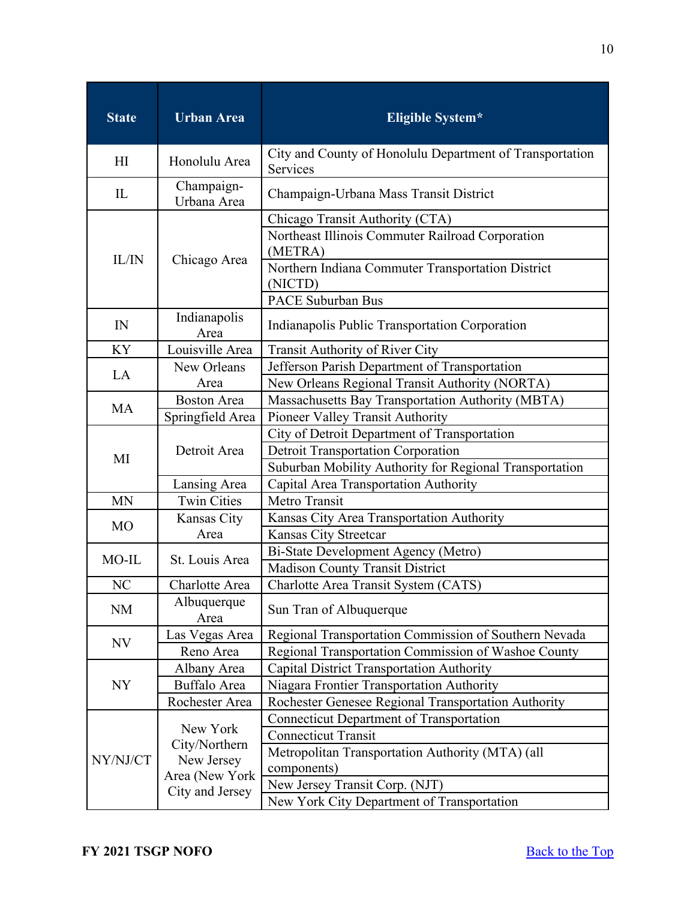| <b>Urban Area</b><br><b>State</b> |                           | <b>Eligible System*</b>                                                                                                                                                                    |  |  |
|-----------------------------------|---------------------------|--------------------------------------------------------------------------------------------------------------------------------------------------------------------------------------------|--|--|
| H <sub>I</sub>                    | Honolulu Area             | City and County of Honolulu Department of Transportation<br>Services                                                                                                                       |  |  |
| IL                                | Champaign-<br>Urbana Area | Champaign-Urbana Mass Transit District                                                                                                                                                     |  |  |
| IL/IN                             | Chicago Area              | Chicago Transit Authority (CTA)<br>Northeast Illinois Commuter Railroad Corporation<br>(METRA)<br>Northern Indiana Commuter Transportation District<br>(NICTD)<br><b>PACE Suburban Bus</b> |  |  |
| IN                                | Indianapolis<br>Area      | Indianapolis Public Transportation Corporation                                                                                                                                             |  |  |
| KY                                | Louisville Area           | <b>Transit Authority of River City</b>                                                                                                                                                     |  |  |
| LA                                | New Orleans<br>Area       | Jefferson Parish Department of Transportation<br>New Orleans Regional Transit Authority (NORTA)                                                                                            |  |  |
|                                   | <b>Boston Area</b>        | Massachusetts Bay Transportation Authority (MBTA)                                                                                                                                          |  |  |
| <b>MA</b>                         | Springfield Area          | Pioneer Valley Transit Authority                                                                                                                                                           |  |  |
| MI                                | Detroit Area              | City of Detroit Department of Transportation<br><b>Detroit Transportation Corporation</b><br>Suburban Mobility Authority for Regional Transportation                                       |  |  |
|                                   | Lansing Area              | Capital Area Transportation Authority                                                                                                                                                      |  |  |
| <b>MN</b>                         | <b>Twin Cities</b>        | Metro Transit                                                                                                                                                                              |  |  |
|                                   | Kansas City               | Kansas City Area Transportation Authority                                                                                                                                                  |  |  |
| <b>MO</b>                         | Area                      | Kansas City Streetcar                                                                                                                                                                      |  |  |
| $MO$ -IL                          | St. Louis Area            | Bi-State Development Agency (Metro)                                                                                                                                                        |  |  |
|                                   |                           | <b>Madison County Transit District</b>                                                                                                                                                     |  |  |
| NC                                | Charlotte Area            | Charlotte Area Transit System (CATS)                                                                                                                                                       |  |  |
| <b>NM</b>                         | Albuquerque<br>Area       | Sun Tran of Albuquerque                                                                                                                                                                    |  |  |
| NV                                | Las Vegas Area            | Regional Transportation Commission of Southern Nevada                                                                                                                                      |  |  |
|                                   | Reno Area                 | Regional Transportation Commission of Washoe County                                                                                                                                        |  |  |
|                                   | Albany Area               | <b>Capital District Transportation Authority</b>                                                                                                                                           |  |  |
| <b>NY</b>                         | Buffalo Area              | Niagara Frontier Transportation Authority                                                                                                                                                  |  |  |
|                                   | Rochester Area            | Rochester Genesee Regional Transportation Authority                                                                                                                                        |  |  |
|                                   | New York                  | <b>Connecticut Department of Transportation</b>                                                                                                                                            |  |  |
|                                   | City/Northern             | <b>Connecticut Transit</b>                                                                                                                                                                 |  |  |
| NY/NJ/CT                          | New Jersey                | Metropolitan Transportation Authority (MTA) (all<br>components)                                                                                                                            |  |  |
|                                   | Area (New York            | New Jersey Transit Corp. (NJT)                                                                                                                                                             |  |  |
|                                   | City and Jersey           | New York City Department of Transportation                                                                                                                                                 |  |  |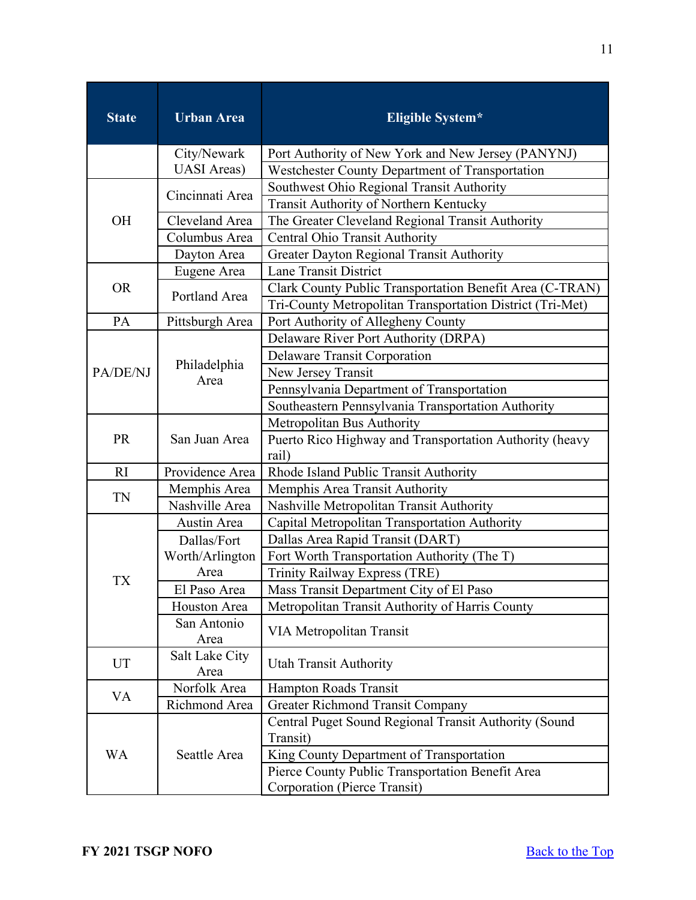| <b>State</b>                 | <b>Urban Area</b>   | <b>Eligible System*</b>                                          |  |  |  |
|------------------------------|---------------------|------------------------------------------------------------------|--|--|--|
|                              | City/Newark         | Port Authority of New York and New Jersey (PANYNJ)               |  |  |  |
|                              | <b>UASI</b> Areas)  | Westchester County Department of Transportation                  |  |  |  |
|                              | Cincinnati Area     | Southwest Ohio Regional Transit Authority                        |  |  |  |
|                              |                     | Transit Authority of Northern Kentucky                           |  |  |  |
| OH                           | Cleveland Area      | The Greater Cleveland Regional Transit Authority                 |  |  |  |
|                              | Columbus Area       | Central Ohio Transit Authority                                   |  |  |  |
|                              | Dayton Area         | Greater Dayton Regional Transit Authority                        |  |  |  |
|                              | Eugene Area         | <b>Lane Transit District</b>                                     |  |  |  |
| <b>OR</b>                    | Portland Area       | Clark County Public Transportation Benefit Area (C-TRAN)         |  |  |  |
|                              |                     | Tri-County Metropolitan Transportation District (Tri-Met)        |  |  |  |
| PA                           | Pittsburgh Area     | Port Authority of Allegheny County                               |  |  |  |
|                              |                     | Delaware River Port Authority (DRPA)                             |  |  |  |
|                              | Philadelphia        | <b>Delaware Transit Corporation</b>                              |  |  |  |
| PA/DE/NJ                     | Area                | New Jersey Transit                                               |  |  |  |
|                              |                     | Pennsylvania Department of Transportation                        |  |  |  |
|                              |                     | Southeastern Pennsylvania Transportation Authority               |  |  |  |
|                              | San Juan Area       | Metropolitan Bus Authority                                       |  |  |  |
| <b>PR</b>                    |                     | Puerto Rico Highway and Transportation Authority (heavy<br>rail) |  |  |  |
| RI                           | Providence Area     | Rhode Island Public Transit Authority                            |  |  |  |
|                              | Memphis Area        | Memphis Area Transit Authority                                   |  |  |  |
| TN                           | Nashville Area      | Nashville Metropolitan Transit Authority                         |  |  |  |
|                              | Austin Area         | Capital Metropolitan Transportation Authority                    |  |  |  |
|                              | Dallas/Fort         | Dallas Area Rapid Transit (DART)                                 |  |  |  |
|                              | Worth/Arlington     | Fort Worth Transportation Authority (The T)                      |  |  |  |
|                              | Area                | <b>Trinity Railway Express (TRE)</b>                             |  |  |  |
| TX                           | El Paso Area        | Mass Transit Department City of El Paso                          |  |  |  |
|                              | Houston Area        | Metropolitan Transit Authority of Harris County                  |  |  |  |
|                              | San Antonio<br>Area | VIA Metropolitan Transit                                         |  |  |  |
| Salt Lake City<br>UT<br>Area |                     | <b>Utah Transit Authority</b>                                    |  |  |  |
|                              | Norfolk Area        | Hampton Roads Transit                                            |  |  |  |
| VA                           | Richmond Area       | <b>Greater Richmond Transit Company</b>                          |  |  |  |
|                              |                     | Central Puget Sound Regional Transit Authority (Sound            |  |  |  |
|                              | Seattle Area        | Transit)                                                         |  |  |  |
| <b>WA</b>                    |                     | King County Department of Transportation                         |  |  |  |
|                              |                     | Pierce County Public Transportation Benefit Area                 |  |  |  |
|                              |                     | Corporation (Pierce Transit)                                     |  |  |  |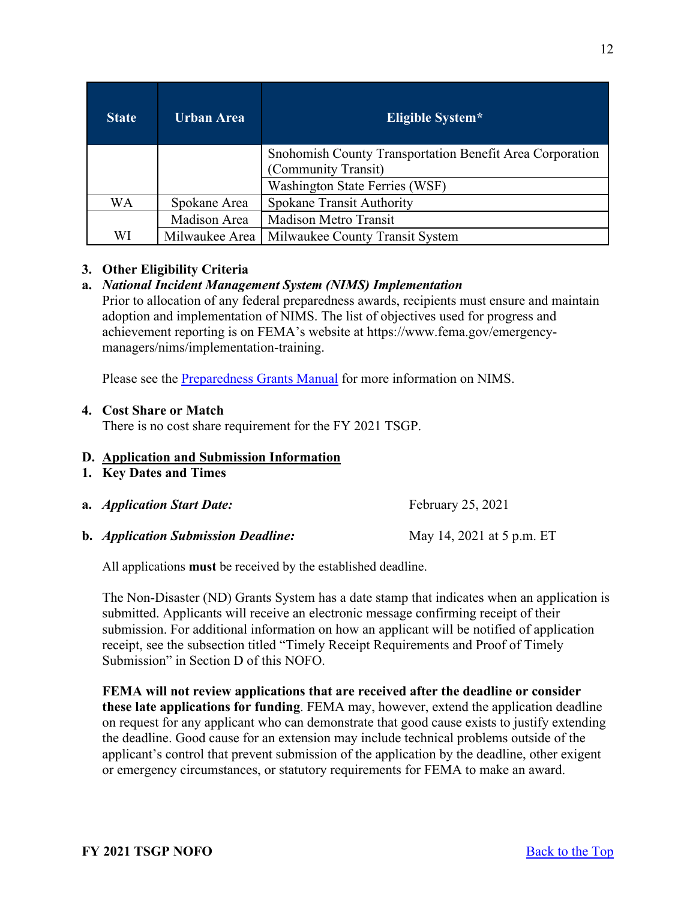| <b>State</b> | Urban Area     | Eligible System*                                                                |  |
|--------------|----------------|---------------------------------------------------------------------------------|--|
|              |                | Snohomish County Transportation Benefit Area Corporation<br>(Community Transit) |  |
|              |                | Washington State Ferries (WSF)                                                  |  |
| WA           | Spokane Area   | <b>Spokane Transit Authority</b>                                                |  |
|              | Madison Area   | <b>Madison Metro Transit</b>                                                    |  |
| WI           | Milwaukee Area | Milwaukee County Transit System                                                 |  |

### <span id="page-11-0"></span>**3. Other Eligibility Criteria**

### **a.** *National Incident Management System (NIMS) Implementation*

Prior to allocation of any federal preparedness awards, recipients must ensure and maintain adoption and implementation of NIMS. The list of objectives used for progress and achievement reporting is on FEMA's website at https://www.fema.gov/emergencymanagers/nims/implementation-training.

Please see the **Preparedness Grants Manual** for more information on NIMS.

#### <span id="page-11-1"></span>**4. Cost Share or Match**

There is no cost share requirement for the FY 2021 TSGP.

#### <span id="page-11-2"></span>**D. Application and Submission Information**

- <span id="page-11-3"></span>**1. Key Dates and Times**
- **a.** *Application Start Date:* February 25, 2021
- **b.** *Application Submission Deadline:* May 14, 2021 at 5 p.m. ET

All applications **must** be received by the established deadline.

The Non-Disaster (ND) Grants System has a date stamp that indicates when an application is submitted. Applicants will receive an electronic message confirming receipt of their submission. For additional information on how an applicant will be notified of application receipt, see the subsection titled "Timely Receipt Requirements and Proof of Timely Submission" in Section D of this NOFO.

**FEMA will not review applications that are received after the deadline or consider these late applications for funding**. FEMA may, however, extend the application deadline on request for any applicant who can demonstrate that good cause exists to justify extending the deadline. Good cause for an extension may include technical problems outside of the applicant's control that prevent submission of the application by the deadline, other exigent or emergency circumstances, or statutory requirements for FEMA to make an award.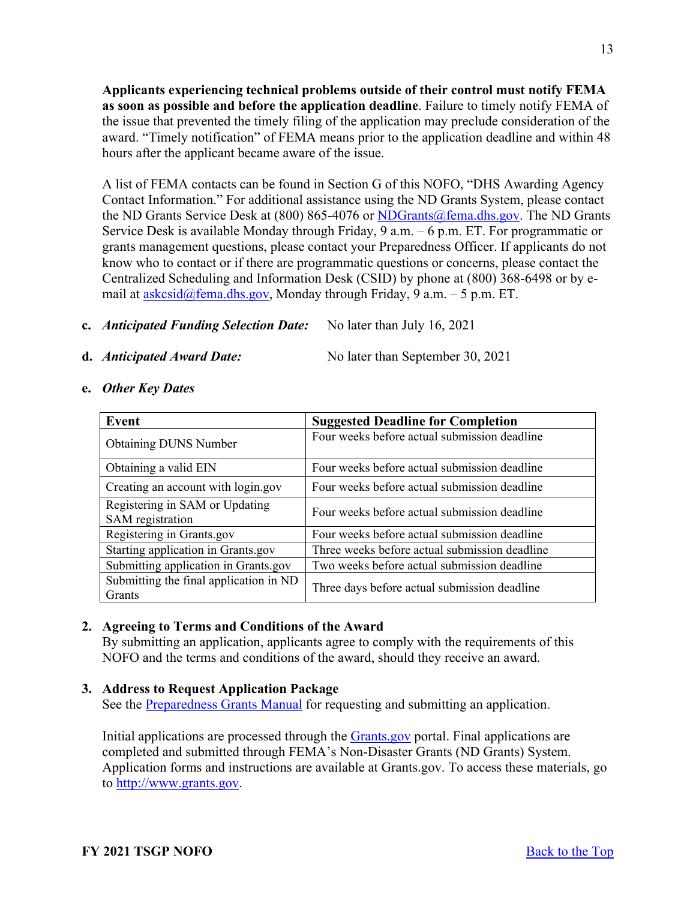**Applicants experiencing technical problems outside of their control must notify FEMA as soon as possible and before the application deadline**. Failure to timely notify FEMA of the issue that prevented the timely filing of the application may preclude consideration of the award. "Timely notification" of FEMA means prior to the application deadline and within 48 hours after the applicant became aware of the issue.

A list of FEMA contacts can be found in Section G of this NOFO, "DHS Awarding Agency Contact Information." For additional assistance using the ND Grants System, please contact the ND Grants Service Desk at  $(800) 865-4076$  or NDGrants $@fema.dhs.gov$ . The ND Grants Service Desk is available Monday through Friday, 9 a.m. – 6 p.m. ET. For programmatic or grants management questions, please contact your Preparedness Officer. If applicants do not know who to contact or if there are programmatic questions or concerns, please contact the Centralized Scheduling and Information Desk (CSID) by phone at (800) 368-6498 or by email at  $askcsid@fema.dhs.gov$ , Monday through Friday, 9 a.m. – 5 p.m. ET.

- **c.** *Anticipated Funding Selection Date:*No later than July 16, 2021
- 

**d.** *Anticipated Award Date:*No later than September 30, 2021

- **Event Suggested Deadline for Completion** Obtaining DUNS Number **Four weeks** before actual submission deadline Obtaining a valid EIN Four weeks before actual submission deadline Creating an account with  $login.gov$   $\mid$  Four weeks before actual submission deadline Registering in SAM or Updating Registering in SAM replacing Four weeks before actual submission deadline Registering in Grants.gov Four weeks before actual submission deadline Starting application in Grants.gov Three weeks before actual submission deadline Submitting application in Grants.gov  $\parallel$  Two weeks before actual submission deadline Submitting the final application in ND Submitting the final application in  $\overline{ND}$  Three days before actual submission deadline Grants
- **e.** *Other Key Dates*

# <span id="page-12-0"></span>**2. Agreeing to Terms and Conditions of the Award**

By submitting an application, applicants agree to comply with the requirements of this NOFO and the terms and conditions of the award, should they receive an award.

# <span id="page-12-1"></span>**3. Address to Request Application Package**

See the [Preparedness Grants Manual](https://www.fema.gov/media-library/assets/documents/178291) for requesting and submitting an application.

Initial applications are processed through the **Grants** gov portal. Final applications are completed and submitted through FEMA's Non-Disaster Grants (ND Grants) System. Application forms and instructions are available at Grants.gov. To access these materials, go to [http://www.grants.gov.](http://www.grants.gov/)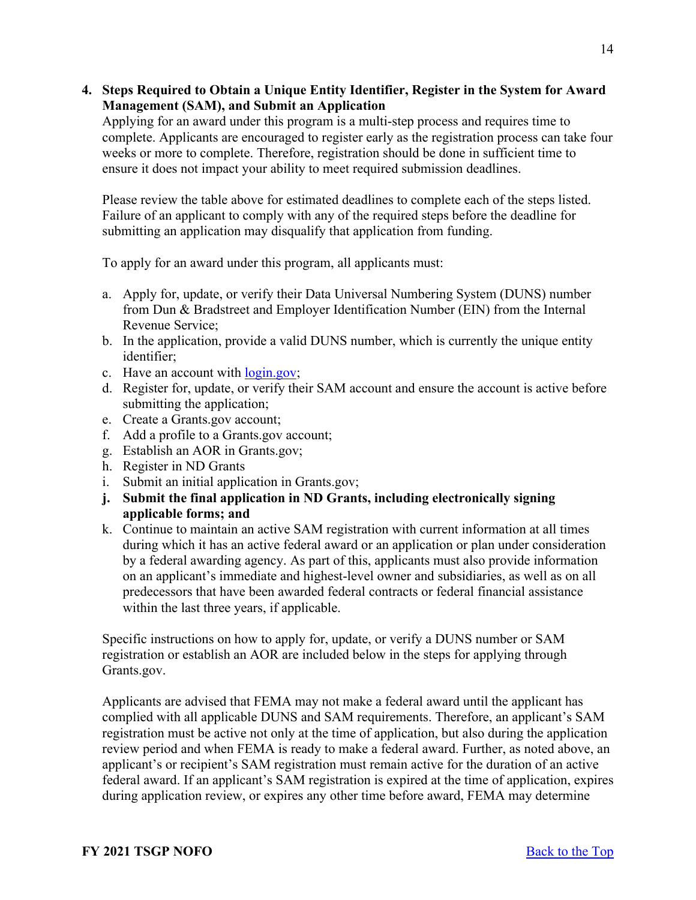### <span id="page-13-0"></span>**4. Steps Required to Obtain a Unique Entity Identifier, Register in the System for Award Management (SAM), and Submit an Application**

Applying for an award under this program is a multi-step process and requires time to complete. Applicants are encouraged to register early as the registration process can take four weeks or more to complete. Therefore, registration should be done in sufficient time to ensure it does not impact your ability to meet required submission deadlines.

Please review the table above for estimated deadlines to complete each of the steps listed. Failure of an applicant to comply with any of the required steps before the deadline for submitting an application may disqualify that application from funding.

To apply for an award under this program, all applicants must:

- a. Apply for, update, or verify their Data Universal Numbering System (DUNS) number from Dun & Bradstreet and Employer Identification Number (EIN) from the Internal Revenue Service;
- b. In the application, provide a valid DUNS number, which is currently the unique entity identifier;
- c. Have an account with [login.gov;](https://www.login.gov/)
- d. Register for, update, or verify their SAM account and ensure the account is active before submitting the application;
- e. Create a Grants.gov account;
- f. Add a profile to a Grants.gov account;
- g. Establish an AOR in Grants.gov;
- h. Register in ND Grants
- i. Submit an initial application in Grants.gov;
- **j. Submit the final application in ND Grants, including electronically signing applicable forms; and**
- k. Continue to maintain an active SAM registration with current information at all times during which it has an active federal award or an application or plan under consideration by a federal awarding agency. As part of this, applicants must also provide information on an applicant's immediate and highest-level owner and subsidiaries, as well as on all predecessors that have been awarded federal contracts or federal financial assistance within the last three years, if applicable.

Specific instructions on how to apply for, update, or verify a DUNS number or SAM registration or establish an AOR are included below in the steps for applying through Grants.gov.

Applicants are advised that FEMA may not make a federal award until the applicant has complied with all applicable DUNS and SAM requirements. Therefore, an applicant's SAM registration must be active not only at the time of application, but also during the application review period and when FEMA is ready to make a federal award. Further, as noted above, an applicant's or recipient's SAM registration must remain active for the duration of an active federal award. If an applicant's SAM registration is expired at the time of application, expires during application review, or expires any other time before award, FEMA may determine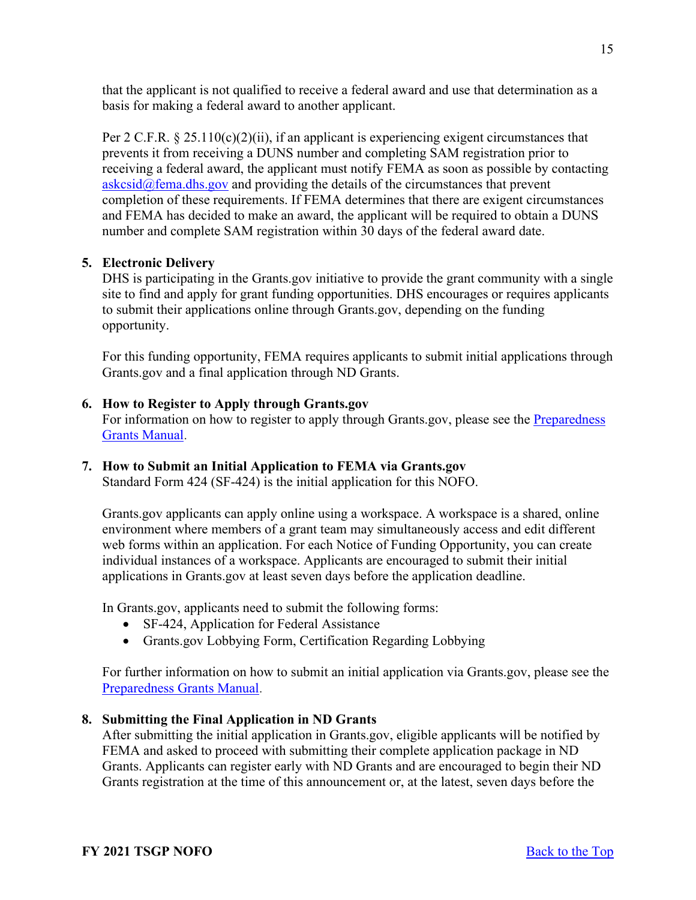that the applicant is not qualified to receive a federal award and use that determination as a basis for making a federal award to another applicant.

Per 2 C.F.R.  $\S 25.110(c)(2)(ii)$ , if an applicant is experiencing exigent circumstances that prevents it from receiving a DUNS number and completing SAM registration prior to receiving a federal award, the applicant must notify FEMA as soon as possible by contacting  $askcsid@fema.dhs.gov$  and providing the details of the circumstances that prevent completion of these requirements. If FEMA determines that there are exigent circumstances and FEMA has decided to make an award, the applicant will be required to obtain a DUNS number and complete SAM registration within 30 days of the federal award date.

# <span id="page-14-0"></span>**5. Electronic Delivery**

DHS is participating in the Grants.gov initiative to provide the grant community with a single site to find and apply for grant funding opportunities. DHS encourages or requires applicants to submit their applications online through Grants.gov, depending on the funding opportunity.

For this funding opportunity, FEMA requires applicants to submit initial applications through Grants.gov and a final application through ND Grants.

### <span id="page-14-1"></span>**6. How to Register to Apply through Grants.gov**

For information on how to register to apply through Grants.gov, please see the Preparedness [Grants Manual.](https://www.fema.gov/media-library/assets/documents/178291)

# **7. How to Submit an Initial Application to FEMA via Grants.gov**

Standard Form 424 (SF-424) is the initial application for this NOFO.

Grants.gov applicants can apply online using a workspace. A workspace is a shared, online environment where members of a grant team may simultaneously access and edit different web forms within an application. For each Notice of Funding Opportunity, you can create individual instances of a workspace. Applicants are encouraged to submit their initial applications in Grants.gov at least seven days before the application deadline.

In Grants.gov, applicants need to submit the following forms:

- SF-424, Application for Federal Assistance
- Grants.gov Lobbying Form, Certification Regarding Lobbying

For further information on how to submit an initial application via Grants.gov, please see the [Preparedness Grants Manual.](https://www.fema.gov/media-library/assets/documents/178291)

# <span id="page-14-2"></span>**8. Submitting the Final Application in ND Grants**

After submitting the initial application in Grants.gov, eligible applicants will be notified by FEMA and asked to proceed with submitting their complete application package in ND Grants. Applicants can register early with ND Grants and are encouraged to begin their ND Grants registration at the time of this announcement or, at the latest, seven days before the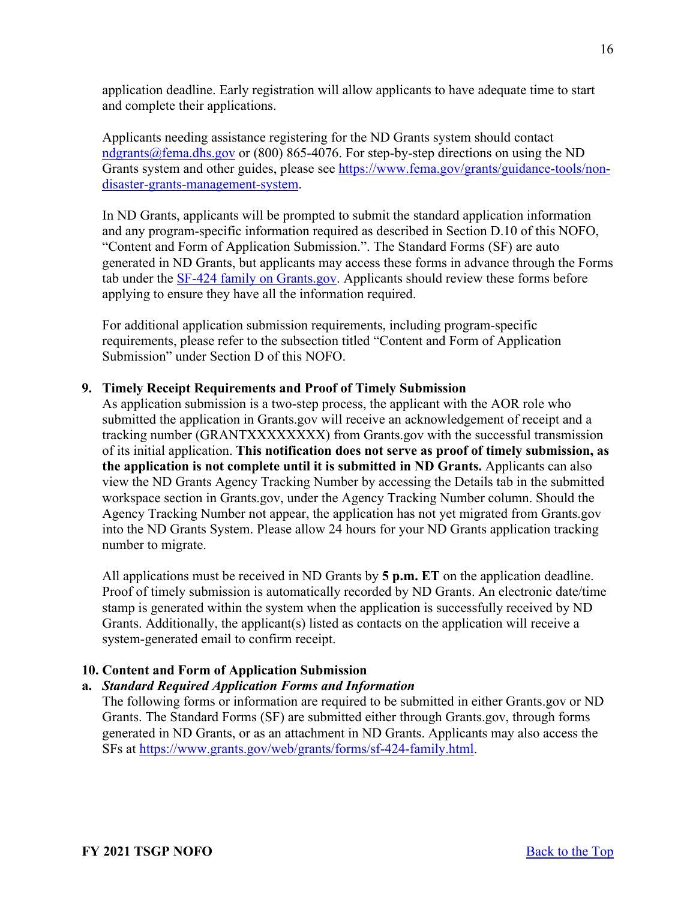application deadline. Early registration will allow applicants to have adequate time to start and complete their applications.

Applicants needing assistance registering for the ND Grants system should contact [ndgrants@fema.dhs.gov](mailto:ndgrants@fema.dhs.gov) or (800) 865-4076. For step-by-step directions on using the ND Grants system and other guides, please see [https://www.fema.gov/grants/guidance-tools/non](https://www.fema.gov/grants/guidance-tools/non-disaster-grants-management-system)[disaster-grants-management-system.](https://www.fema.gov/grants/guidance-tools/non-disaster-grants-management-system)

In ND Grants, applicants will be prompted to submit the standard application information and any program-specific information required as described in Section D.10 of this NOFO, "Content and Form of Application Submission.". The Standard Forms (SF) are auto generated in ND Grants, but applicants may access these forms in advance through the Forms tab under the [SF-424 family on Grants.gov.](https://www.grants.gov/forms/sf-424-family.html) Applicants should review these forms before applying to ensure they have all the information required.

For additional application submission requirements, including program-specific requirements, please refer to the subsection titled "Content and Form of Application Submission" under Section D of this NOFO.

### <span id="page-15-0"></span>**9. Timely Receipt Requirements and Proof of Timely Submission**

As application submission is a two-step process, the applicant with the AOR role who submitted the application in Grants.gov will receive an acknowledgement of receipt and a tracking number (GRANTXXXXXXXX) from Grants.gov with the successful transmission of its initial application. **This notification does not serve as proof of timely submission, as the application is not complete until it is submitted in ND Grants.** Applicants can also view the ND Grants Agency Tracking Number by accessing the Details tab in the submitted workspace section in Grants.gov, under the Agency Tracking Number column. Should the Agency Tracking Number not appear, the application has not yet migrated from Grants.gov into the ND Grants System. Please allow 24 hours for your ND Grants application tracking number to migrate.

All applications must be received in ND Grants by **5 p.m. ET** on the application deadline. Proof of timely submission is automatically recorded by ND Grants. An electronic date/time stamp is generated within the system when the application is successfully received by ND Grants. Additionally, the applicant(s) listed as contacts on the application will receive a system-generated email to confirm receipt.

# <span id="page-15-1"></span>**10. Content and Form of Application Submission**

# **a.** *Standard Required Application Forms and Information*

The following forms or information are required to be submitted in either Grants.gov or ND Grants. The Standard Forms (SF) are submitted either through Grants.gov, through forms generated in ND Grants, or as an attachment in ND Grants. Applicants may also access the SFs at [https://www.grants.gov/web/grants/forms/sf-424-family.html.](https://www.grants.gov/web/grants/forms/sf-424-family.html)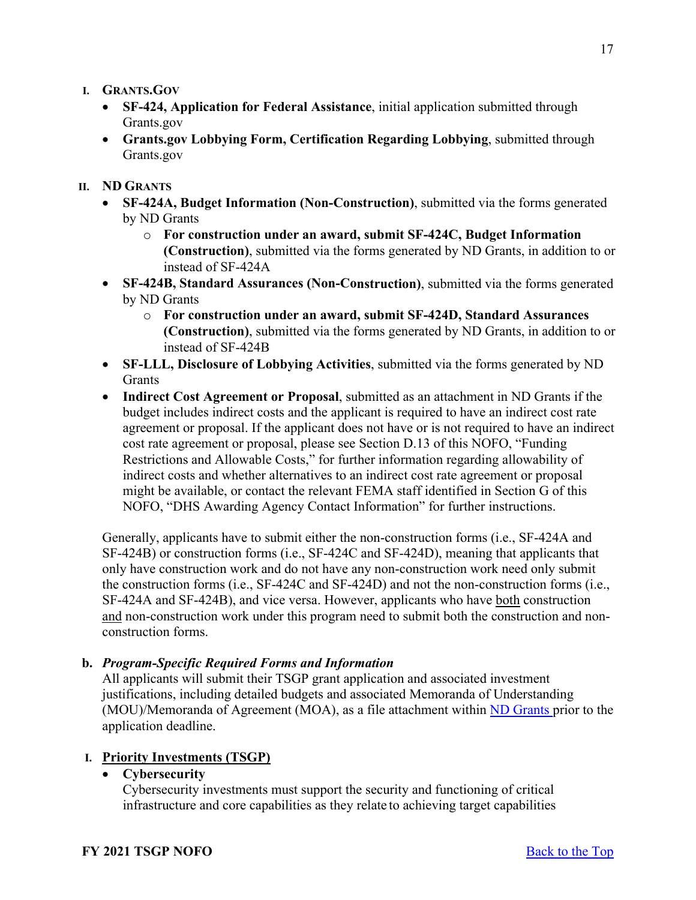- **I. GRANTS.GOV**
	- **SF-424, Application for Federal Assistance**, initial application submitted through Grants.gov
	- **Grants.gov Lobbying Form, Certification Regarding Lobbying**, submitted through Grants.gov

#### **II. ND GRANTS**

- **SF-424A, Budget Information (Non-Construction)**, submitted via the forms generated by ND Grants
	- o **For construction under an award, submit SF-424C, Budget Information (Construction)**, submitted via the forms generated by ND Grants, in addition to or instead of SF-424A
- **SF-424B, Standard Assurances (Non-Construction)**, submitted via the forms generated by ND Grants
	- o **For construction under an award, submit SF-424D, Standard Assurances (Construction)**, submitted via the forms generated by ND Grants, in addition to or instead of SF-424B
- **SF-LLL, Disclosure of Lobbying Activities**, submitted via the forms generated by ND Grants
- **Indirect Cost Agreement or Proposal**, submitted as an attachment in ND Grants if the budget includes indirect costs and the applicant is required to have an indirect cost rate agreement or proposal. If the applicant does not have or is not required to have an indirect cost rate agreement or proposal, please see Section D.13 of this NOFO, "Funding Restrictions and Allowable Costs," for further information regarding allowability of indirect costs and whether alternatives to an indirect cost rate agreement or proposal might be available, or contact the relevant FEMA staff identified in Section G of this NOFO, "DHS Awarding Agency Contact Information" for further instructions.

Generally, applicants have to submit either the non-construction forms (i.e., SF-424A and SF-424B) or construction forms (i.e., SF-424C and SF-424D), meaning that applicants that only have construction work and do not have any non-construction work need only submit the construction forms (i.e., SF-424C and SF-424D) and not the non-construction forms (i.e., SF-424A and SF-424B), and vice versa. However, applicants who have both construction and non-construction work under this program need to submit both the construction and nonconstruction forms.

#### **b.** *Program-Specific Required Forms and Information*

All applicants will submit their TSGP grant application and associated investment justifications, including detailed budgets and associated Memoranda of Understanding (MOU)/Memoranda of Agreement (MOA), as a file attachment within [ND Grants p](https://portal.fema.gov/)rior to the application deadline.

### **I. Priority Investments (TSGP)**

• **Cybersecurity**

Cybersecurity investments must support the security and functioning of critical infrastructure and core capabilities as they relate to achieving target capabilities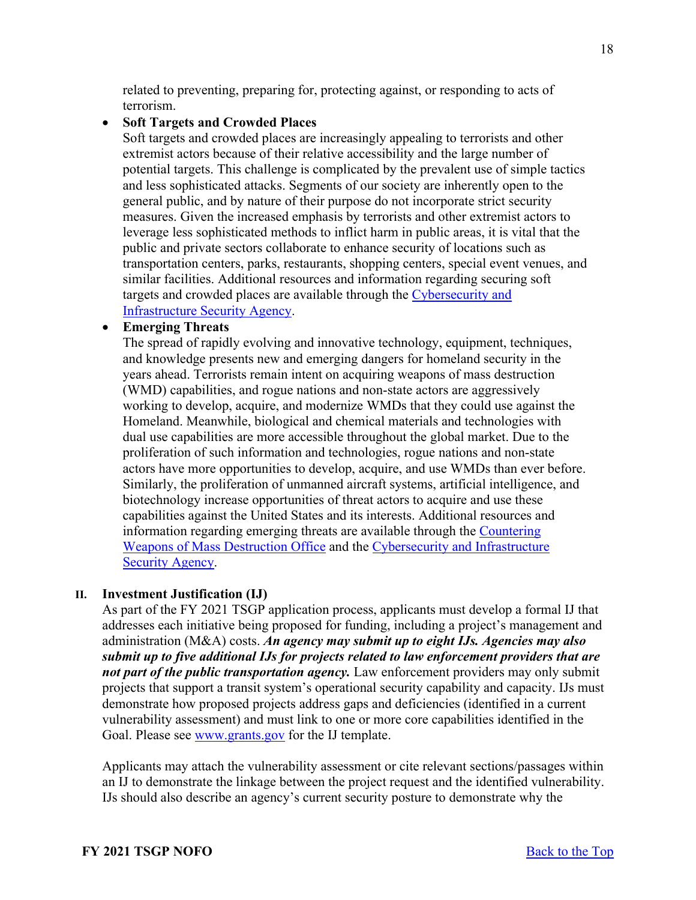related to preventing, preparing for, protecting against, or responding to acts of terrorism.

### • **Soft Targets and Crowded Places**

Soft targets and crowded places are increasingly appealing to terrorists and other extremist actors because of their relative accessibility and the large number of potential targets. This challenge is complicated by the prevalent use of simple tactics and less sophisticated attacks. Segments of our society are inherently open to the general public, and by nature of their purpose do not incorporate strict security measures. Given the increased emphasis by terrorists and other extremist actors to leverage less sophisticated methods to inflict harm in public areas, it is vital that the public and private sectors collaborate to enhance security of locations such as transportation centers, parks, restaurants, shopping centers, special event venues, and similar facilities. Additional resources and information regarding securing soft targets and crowded places are available through the Cybersecurity and [Infrastructure Security Agency.](https://www.cisa.gov/securing-soft-targets-and-crowded-places)

### • **Emerging Threats**

The spread of rapidly evolving and innovative technology, equipment, techniques, and knowledge presents new and emerging dangers for homeland security in the years ahead. Terrorists remain intent on acquiring weapons of mass destruction (WMD) capabilities, and rogue nations and non-state actors are aggressively working to develop, acquire, and modernize WMDs that they could use against the Homeland. Meanwhile, biological and chemical materials and technologies with dual use capabilities are more accessible throughout the global market. Due to the proliferation of such information and technologies, rogue nations and non-state actors have more opportunities to develop, acquire, and use WMDs than ever before. Similarly, the proliferation of unmanned aircraft systems, artificial intelligence, and biotechnology increase opportunities of threat actors to acquire and use these capabilities against the United States and its interests. Additional resources and information regarding emerging threats are available through the [Countering](https://www.dhs.gov/topic/weapons-mass-destruction)  [Weapons of Mass Destruction Office](https://www.dhs.gov/topic/weapons-mass-destruction) and the [Cybersecurity and Infrastructure](https://www.cisa.gov/uas-critical-infrastructure)  [Security Agency.](https://www.cisa.gov/uas-critical-infrastructure)

### **II. Investment Justification (IJ)**

As part of the FY 2021 TSGP application process, applicants must develop a formal IJ that addresses each initiative being proposed for funding, including a project's management and administration (M&A) costs. *An agency may submit up to eight IJs. Agencies may also submit up to five additional IJs for projects related to law enforcement providers that are not part of the public transportation agency*. Law enforcement providers may only submit projects that support a transit system's operational security capability and capacity. IJs must demonstrate how proposed projects address gaps and deficiencies (identified in a current vulnerability assessment) and must link to one or more core capabilities identified in the Goal. Please see [www.grants.gov](http://www.grants.gov/) for the IJ template.

Applicants may attach the vulnerability assessment or cite relevant sections/passages within an IJ to demonstrate the linkage between the project request and the identified vulnerability. IJs should also describe an agency's current security posture to demonstrate why the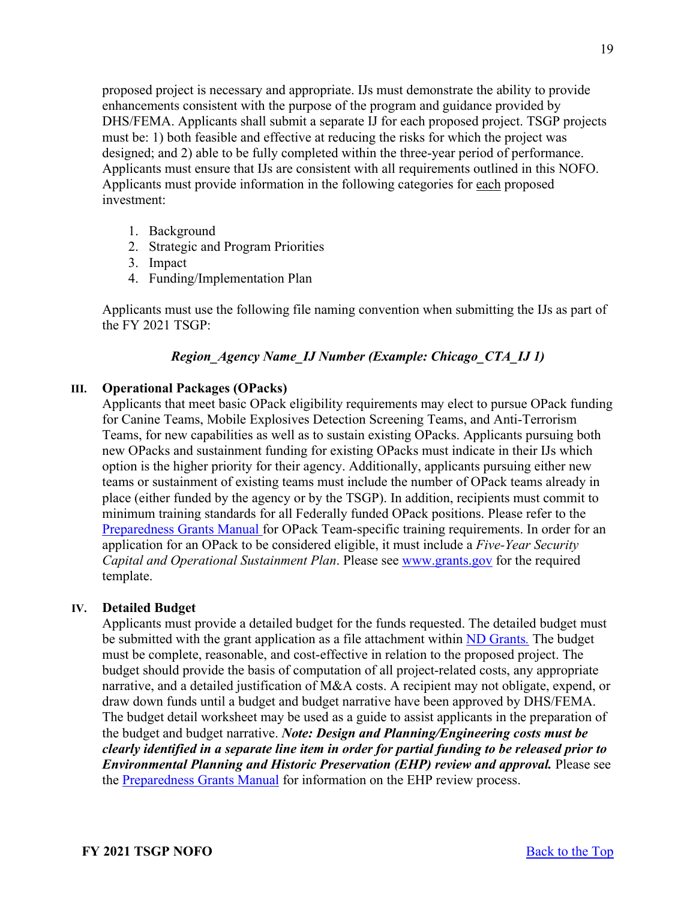proposed project is necessary and appropriate. IJs must demonstrate the ability to provide enhancements consistent with the purpose of the program and guidance provided by DHS/FEMA. Applicants shall submit a separate IJ for each proposed project. TSGP projects must be: 1) both feasible and effective at reducing the risks for which the project was designed; and 2) able to be fully completed within the three-year period of performance. Applicants must ensure that IJs are consistent with all requirements outlined in this NOFO. Applicants must provide information in the following categories for each proposed investment:

- 1. Background
- 2. Strategic and Program Priorities
- 3. Impact
- 4. Funding/Implementation Plan

Applicants must use the following file naming convention when submitting the IJs as part of the FY 2021 TSGP:

# *Region\_Agency Name\_IJ Number (Example: Chicago\_CTA\_IJ 1)*

### **III. Operational Packages (OPacks)**

Applicants that meet basic OPack eligibility requirements may elect to pursue OPack funding for Canine Teams, Mobile Explosives Detection Screening Teams, and Anti-Terrorism Teams, for new capabilities as well as to sustain existing OPacks. Applicants pursuing both new OPacks and sustainment funding for existing OPacks must indicate in their IJs which option is the higher priority for their agency. Additionally, applicants pursuing either new teams or sustainment of existing teams must include the number of OPack teams already in place (either funded by the agency or by the TSGP). In addition, recipients must commit to minimum training standards for all Federally funded OPack positions. Please refer to the [Preparedness Grants Manual](https://www.fema.gov/media-library/assets/documents/178291) for OPack Team-specific training requirements. In order for an application for an OPack to be considered eligible, it must include a *Five-Year Security Capital and Operational Sustainment Plan*. Please see [www.grants.gov](http://www.grants.gov/) for the required template.

### **IV. Detailed Budget**

Applicants must provide a detailed budget for the funds requested. The detailed budget must be submitted with the grant application as a file attachment within [ND Grants](https://portal.fema.gov/)*.* The budget must be complete, reasonable, and cost-effective in relation to the proposed project. The budget should provide the basis of computation of all project-related costs, any appropriate narrative, and a detailed justification of M&A costs. A recipient may not obligate, expend, or draw down funds until a budget and budget narrative have been approved by DHS/FEMA. The budget detail worksheet may be used as a guide to assist applicants in the preparation of the budget and budget narrative. *Note: Design and Planning/Engineering costs must be clearly identified in a separate line item in order for partial funding to be released prior to Environmental Planning and Historic Preservation (EHP) review and approval. Please see* the [Preparedness Grants Manual](https://www.fema.gov/media-library/assets/documents/178291) for information on the EHP review process.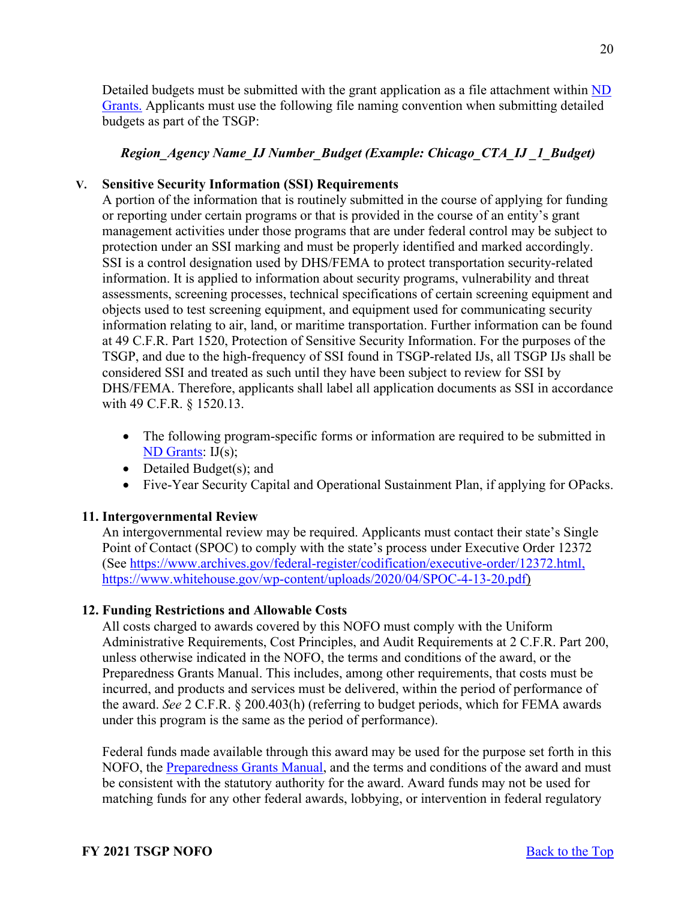Detailed budgets must be submitted with the grant application as a file attachment within ND [Grants.](https://portal.fema.gov/) Applicants must use the following file naming convention when submitting detailed budgets as part of the TSGP:

# *Region\_Agency Name\_IJ Number\_Budget (Example: Chicago\_CTA\_IJ \_1\_Budget)*

### **V. Sensitive Security Information (SSI) Requirements**

A portion of the information that is routinely submitted in the course of applying for funding or reporting under certain programs or that is provided in the course of an entity's grant management activities under those programs that are under federal control may be subject to protection under an SSI marking and must be properly identified and marked accordingly. SSI is a control designation used by DHS/FEMA to protect transportation security-related information. It is applied to information about security programs, vulnerability and threat assessments, screening processes, technical specifications of certain screening equipment and objects used to test screening equipment, and equipment used for communicating security information relating to air, land, or maritime transportation. Further information can be found at 49 C.F.R. Part 1520, Protection of Sensitive Security Information. For the purposes of the TSGP, and due to the high-frequency of SSI found in TSGP-related IJs, all TSGP IJs shall be considered SSI and treated as such until they have been subject to review for SSI by DHS/FEMA. Therefore, applicants shall label all application documents as SSI in accordance with 49 C.F.R. § 1520.13.

- The following program-specific forms or information are required to be submitted in [ND Grants:](https://portal.fema.gov/famsVuWeb/home) IJ(s);
- Detailed Budget(s); and
- Five-Year Security Capital and Operational Sustainment Plan, if applying for OPacks.

### <span id="page-19-0"></span>**11. Intergovernmental Review**

An intergovernmental review may be required. Applicants must contact their state's Single Point of Contact (SPOC) to comply with the state's process under Executive Order 12372 (See [https://www.archives.gov/federal-register/codification/executive-order/12372.html,](https://www.archives.gov/federal-register/codification/executive-order/12372.html) [https://www.whitehouse.gov/wp-content/uploads/2020/04/SPOC-4-13-20.pdf\)](https://www.whitehouse.gov/wp-content/uploads/2020/04/SPOC-4-13-20.pdf)

### <span id="page-19-1"></span>**12. Funding Restrictions and Allowable Costs**

All costs charged to awards covered by this NOFO must comply with the Uniform Administrative Requirements, Cost Principles, and Audit Requirements at 2 C.F.R. Part 200, unless otherwise indicated in the NOFO, the terms and conditions of the award, or the Preparedness Grants Manual. This includes, among other requirements, that costs must be incurred, and products and services must be delivered, within the period of performance of the award. *See* 2 C.F.R. § 200.403(h) (referring to budget periods, which for FEMA awards under this program is the same as the period of performance).

Federal funds made available through this award may be used for the purpose set forth in this NOFO, the [Preparedness Grants Manual,](https://www.fema.gov/media-library/assets/documents/178291) and the terms and conditions of the award and must be consistent with the statutory authority for the award. Award funds may not be used for matching funds for any other federal awards, lobbying, or intervention in federal regulatory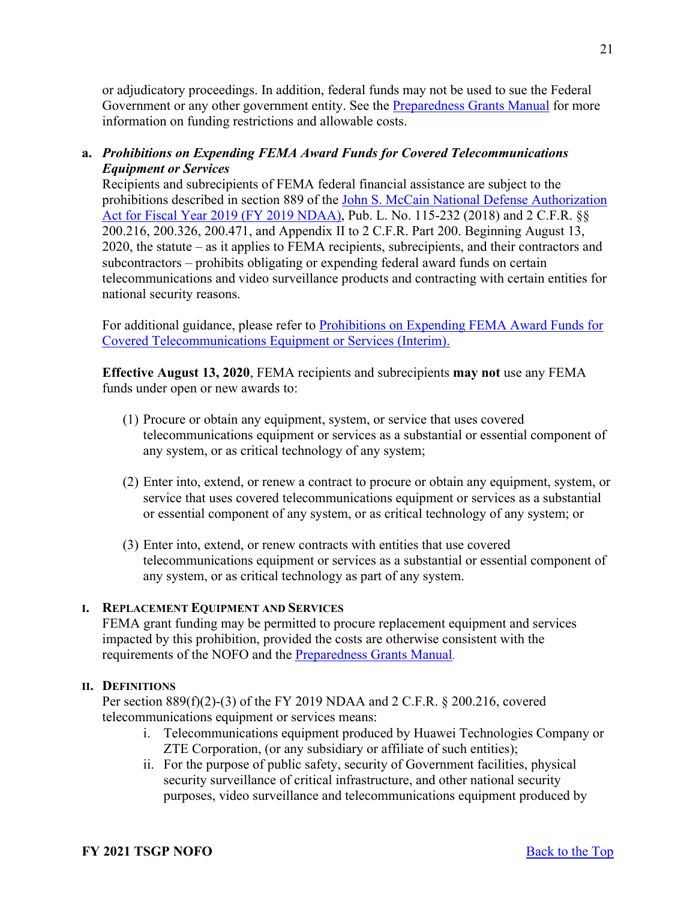or adjudicatory proceedings. In addition, federal funds may not be used to sue the Federal Government or any other government entity. See the [Preparedness Grants Manual](https://www.fema.gov/media-library/assets/documents/178291) for more information on funding restrictions and allowable costs.

# **a.** *Prohibitions on Expending FEMA Award Funds for Covered Telecommunications Equipment or Services*

Recipients and subrecipients of FEMA federal financial assistance are subject to the prohibitions described in section 889 of the [John S. McCain National Defense Authorization](https://www.congress.gov/bill/115th-congress/house-bill/5515/text?format=txt)  [Act for Fiscal Year 2019 \(FY 2019 NDAA\),](https://www.congress.gov/bill/115th-congress/house-bill/5515/text?format=txt) Pub. L. No. 115-232 (2018) and 2 C.F.R. §§ 200.216, 200.326, 200.471, and Appendix II to 2 C.F.R. Part 200. Beginning August 13, 2020, the statute – as it applies to FEMA recipients, subrecipients, and their contractors and subcontractors – prohibits obligating or expending federal award funds on certain telecommunications and video surveillance products and contracting with certain entities for national security reasons.

For additional guidance, please refer to [Prohibitions on Expending FEMA Award Funds for](https://www.fema.gov/sites/default/files/documents/fema_prohibitions-expending-fema-award-funds-covered-telecommunications-equipment-services.pdf)  [Covered Telecommunications Equipment or Services \(Interim\).](https://www.fema.gov/sites/default/files/documents/fema_prohibitions-expending-fema-award-funds-covered-telecommunications-equipment-services.pdf) 

**Effective August 13, 2020**, FEMA recipients and subrecipients **may not** use any FEMA funds under open or new awards to:

- (1) Procure or obtain any equipment, system, or service that uses covered telecommunications equipment or services as a substantial or essential component of any system, or as critical technology of any system;
- (2) Enter into, extend, or renew a contract to procure or obtain any equipment, system, or service that uses covered telecommunications equipment or services as a substantial or essential component of any system, or as critical technology of any system; or
- (3) Enter into, extend, or renew contracts with entities that use covered telecommunications equipment or services as a substantial or essential component of any system, or as critical technology as part of any system.

# **I. REPLACEMENT EQUIPMENT AND SERVICES**

FEMA grant funding may be permitted to procure replacement equipment and services impacted by this prohibition, provided the costs are otherwise consistent with the requirements of the NOFO and the [Preparedness Grants Manual](https://www.fema.gov/media-library/assets/documents/178291)*.*

### **II. DEFINITIONS**

Per section 889(f)(2)-(3) of the FY 2019 NDAA and 2 C.F.R. § 200.216, covered telecommunications equipment or services means:

- i. Telecommunications equipment produced by Huawei Technologies Company or ZTE Corporation, (or any subsidiary or affiliate of such entities);
- ii. For the purpose of public safety, security of Government facilities, physical security surveillance of critical infrastructure, and other national security purposes, video surveillance and telecommunications equipment produced by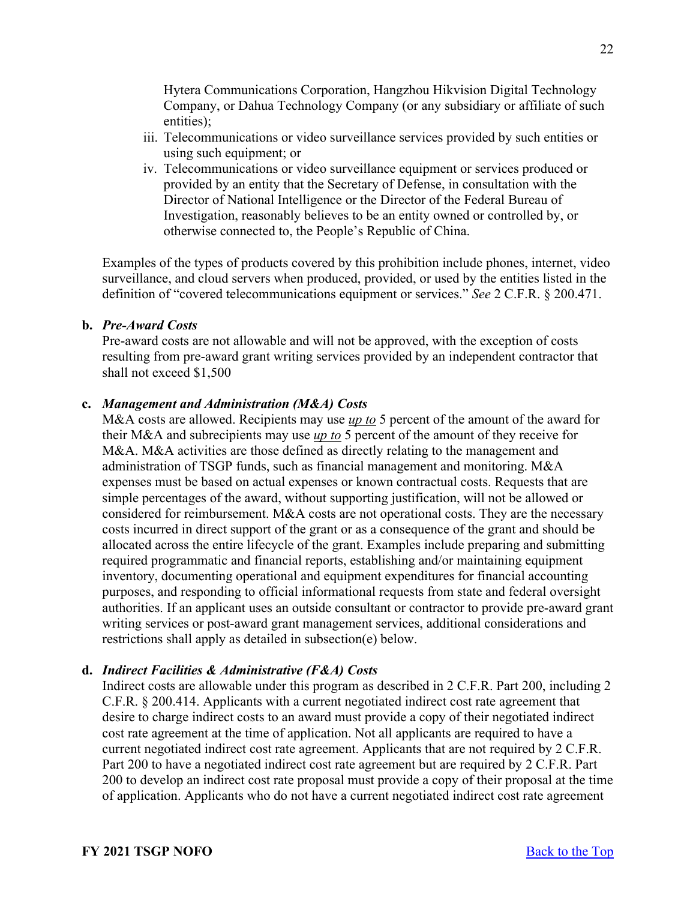Hytera Communications Corporation, Hangzhou Hikvision Digital Technology Company, or Dahua Technology Company (or any subsidiary or affiliate of such entities);

- iii. Telecommunications or video surveillance services provided by such entities or using such equipment; or
- iv. Telecommunications or video surveillance equipment or services produced or provided by an entity that the Secretary of Defense, in consultation with the Director of National Intelligence or the Director of the Federal Bureau of Investigation, reasonably believes to be an entity owned or controlled by, or otherwise connected to, the People's Republic of China.

Examples of the types of products covered by this prohibition include phones, internet, video surveillance, and cloud servers when produced, provided, or used by the entities listed in the definition of "covered telecommunications equipment or services." *See* 2 C.F.R. § 200.471.

#### **b.** *Pre-Award Costs*

Pre-award costs are not allowable and will not be approved, with the exception of costs resulting from pre-award grant writing services provided by an independent contractor that shall not exceed \$1,500

#### **c.** *Management and Administration (M&A) Costs*

M&A costs are allowed. Recipients may use *up to* 5 percent of the amount of the award for their M&A and subrecipients may use *up to* 5 percent of the amount of they receive for M&A. M&A activities are those defined as directly relating to the management and administration of TSGP funds, such as financial management and monitoring. M&A expenses must be based on actual expenses or known contractual costs. Requests that are simple percentages of the award, without supporting justification, will not be allowed or considered for reimbursement. M&A costs are not operational costs. They are the necessary costs incurred in direct support of the grant or as a consequence of the grant and should be allocated across the entire lifecycle of the grant. Examples include preparing and submitting required programmatic and financial reports, establishing and/or maintaining equipment inventory, documenting operational and equipment expenditures for financial accounting purposes, and responding to official informational requests from state and federal oversight authorities. If an applicant uses an outside consultant or contractor to provide pre-award grant writing services or post-award grant management services, additional considerations and restrictions shall apply as detailed in subsection(e) below.

### **d.** *Indirect Facilities & Administrative (F&A) Costs*

Indirect costs are allowable under this program as described in 2 C.F.R. Part 200, including 2 C.F.R. § 200.414. Applicants with a current negotiated indirect cost rate agreement that desire to charge indirect costs to an award must provide a copy of their negotiated indirect cost rate agreement at the time of application. Not all applicants are required to have a current negotiated indirect cost rate agreement. Applicants that are not required by 2 C.F.R. Part 200 to have a negotiated indirect cost rate agreement but are required by 2 C.F.R. Part 200 to develop an indirect cost rate proposal must provide a copy of their proposal at the time of application. Applicants who do not have a current negotiated indirect cost rate agreement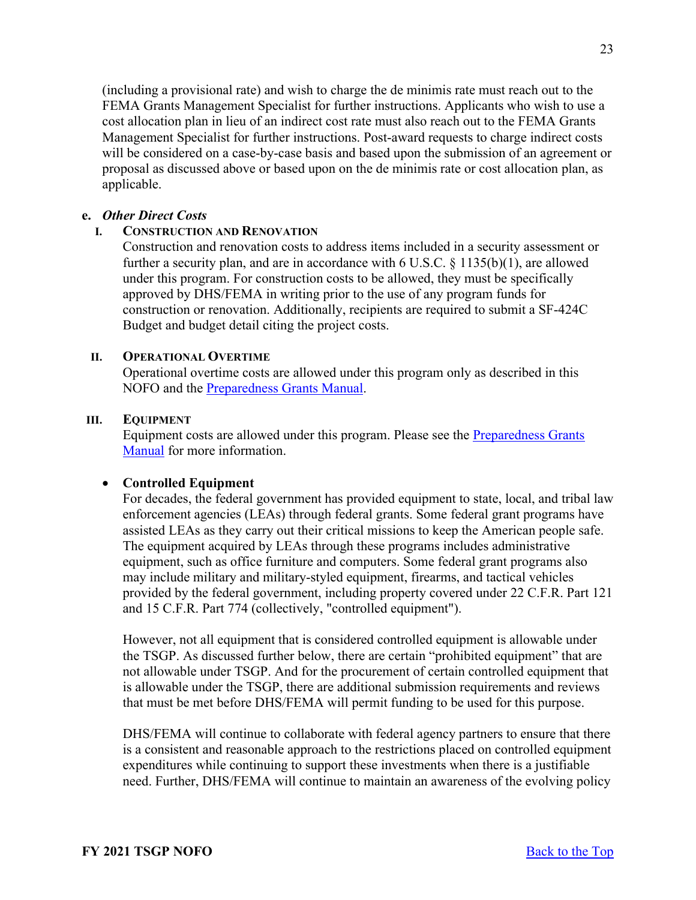(including a provisional rate) and wish to charge the de minimis rate must reach out to the FEMA Grants Management Specialist for further instructions. Applicants who wish to use a cost allocation plan in lieu of an indirect cost rate must also reach out to the FEMA Grants Management Specialist for further instructions. Post-award requests to charge indirect costs will be considered on a case-by-case basis and based upon the submission of an agreement or proposal as discussed above or based upon on the de minimis rate or cost allocation plan, as applicable.

#### **e.** *Other Direct Costs*

### **I. CONSTRUCTION AND RENOVATION**

Construction and renovation costs to address items included in a security assessment or further a security plan, and are in accordance with  $6$  U.S.C.  $§$  1135(b)(1), are allowed under this program. For construction costs to be allowed, they must be specifically approved by DHS/FEMA in writing prior to the use of any program funds for construction or renovation. Additionally, recipients are required to submit a SF-424C Budget and budget detail citing the project costs.

#### **II. OPERATIONAL OVERTIME**

Operational overtime costs are allowed under this program only as described in this NOFO and the [Preparedness Grants Manual.](https://www.fema.gov/media-library/assets/documents/178291)

#### **III. EQUIPMENT**

Equipment costs are allowed under this program. Please see the **Preparedness Grants** [Manual](https://www.fema.gov/media-library/assets/documents/178291) for more information.

#### • **Controlled Equipment**

For decades, the federal government has provided equipment to state, local, and tribal law enforcement agencies (LEAs) through federal grants. Some federal grant programs have assisted LEAs as they carry out their critical missions to keep the American people safe. The equipment acquired by LEAs through these programs includes administrative equipment, such as office furniture and computers. Some federal grant programs also may include military and military-styled equipment, firearms, and tactical vehicles provided by the federal government, including property covered under 22 C.F.R. Part 121 and 15 C.F.R. Part 774 (collectively, "controlled equipment").

However, not all equipment that is considered controlled equipment is allowable under the TSGP. As discussed further below, there are certain "prohibited equipment" that are not allowable under TSGP. And for the procurement of certain controlled equipment that is allowable under the TSGP, there are additional submission requirements and reviews that must be met before DHS/FEMA will permit funding to be used for this purpose.

DHS/FEMA will continue to collaborate with federal agency partners to ensure that there is a consistent and reasonable approach to the restrictions placed on controlled equipment expenditures while continuing to support these investments when there is a justifiable need. Further, DHS/FEMA will continue to maintain an awareness of the evolving policy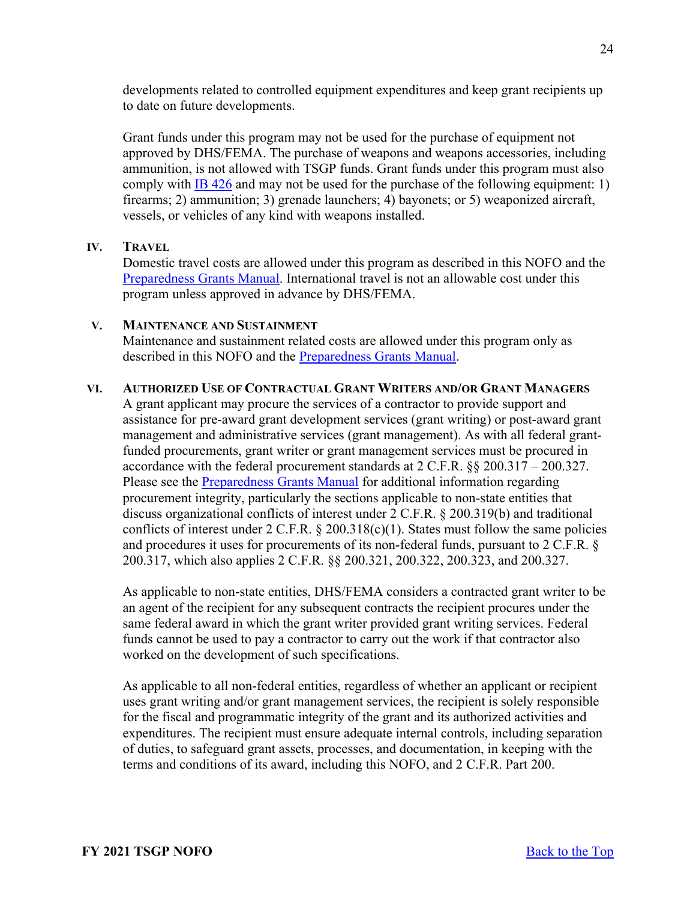developments related to controlled equipment expenditures and keep grant recipients up to date on future developments.

Grant funds under this program may not be used for the purchase of equipment not approved by DHS/FEMA. The purchase of weapons and weapons accessories, including ammunition, is not allowed with TSGP funds. Grant funds under this program must also comply with [IB 426](https://www.fema.gov/sites/default/files/2020-08/ib_426_controlled_equipment_recission__11-1-17.pdf) and may not be used for the purchase of the following equipment: 1) firearms; 2) ammunition; 3) grenade launchers; 4) bayonets; or 5) weaponized aircraft, vessels, or vehicles of any kind with weapons installed.

#### **IV. TRAVEL**

Domestic travel costs are allowed under this program as described in this NOFO and the [Preparedness Grants Manual.](https://www.fema.gov/media-library/assets/documents/178291) International travel is not an allowable cost under this program unless approved in advance by DHS/FEMA.

#### **V. MAINTENANCE AND SUSTAINMENT**

Maintenance and sustainment related costs are allowed under this program only as described in this NOFO and the [Preparedness Grants Manual.](https://www.fema.gov/media-library/assets/documents/178291)

### **VI. AUTHORIZED USE OF CONTRACTUAL GRANT WRITERS AND/OR GRANT MANAGERS**

A grant applicant may procure the services of a contractor to provide support and assistance for pre-award grant development services (grant writing) or post-award grant management and administrative services (grant management). As with all federal grantfunded procurements, grant writer or grant management services must be procured in accordance with the federal procurement standards at 2 C.F.R. §§ 200.317 – 200.327. Please see the [Preparedness Grants Manual](https://www.fema.gov/media-library/assets/documents/178291) for additional information regarding procurement integrity, particularly the sections applicable to non-state entities that discuss organizational conflicts of interest under 2 C.F.R. § 200.319(b) and traditional conflicts of interest under  $2 \text{ C.F.R. } § 200.318(c)(1)$ . States must follow the same policies and procedures it uses for procurements of its non-federal funds, pursuant to 2 C.F.R. § 200.317, which also applies 2 C.F.R. §§ 200.321, 200.322, 200.323, and 200.327.

As applicable to non-state entities, DHS/FEMA considers a contracted grant writer to be an agent of the recipient for any subsequent contracts the recipient procures under the same federal award in which the grant writer provided grant writing services. Federal funds cannot be used to pay a contractor to carry out the work if that contractor also worked on the development of such specifications.

As applicable to all non-federal entities, regardless of whether an applicant or recipient uses grant writing and/or grant management services, the recipient is solely responsible for the fiscal and programmatic integrity of the grant and its authorized activities and expenditures. The recipient must ensure adequate internal controls, including separation of duties, to safeguard grant assets, processes, and documentation, in keeping with the terms and conditions of its award, including this NOFO, and 2 C.F.R. Part 200.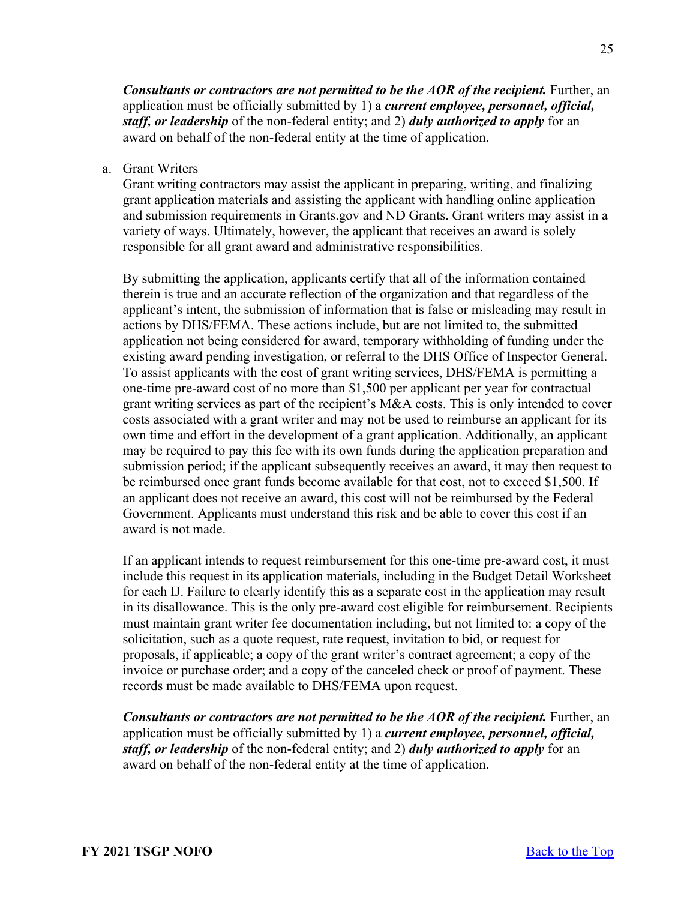*Consultants or contractors are not permitted to be the AOR of the recipient.* **Further, an** application must be officially submitted by 1) a *current employee, personnel, official, staff, or leadership* of the non-federal entity; and 2) *duly authorized to apply* for an award on behalf of the non-federal entity at the time of application.

a. Grant Writers

Grant writing contractors may assist the applicant in preparing, writing, and finalizing grant application materials and assisting the applicant with handling online application and submission requirements in Grants.gov and ND Grants. Grant writers may assist in a variety of ways. Ultimately, however, the applicant that receives an award is solely responsible for all grant award and administrative responsibilities.

By submitting the application, applicants certify that all of the information contained therein is true and an accurate reflection of the organization and that regardless of the applicant's intent, the submission of information that is false or misleading may result in actions by DHS/FEMA. These actions include, but are not limited to, the submitted application not being considered for award, temporary withholding of funding under the existing award pending investigation, or referral to the DHS Office of Inspector General. To assist applicants with the cost of grant writing services, DHS/FEMA is permitting a one-time pre-award cost of no more than \$1,500 per applicant per year for contractual grant writing services as part of the recipient's M&A costs. This is only intended to cover costs associated with a grant writer and may not be used to reimburse an applicant for its own time and effort in the development of a grant application. Additionally, an applicant may be required to pay this fee with its own funds during the application preparation and submission period; if the applicant subsequently receives an award, it may then request to be reimbursed once grant funds become available for that cost, not to exceed \$1,500. If an applicant does not receive an award, this cost will not be reimbursed by the Federal Government. Applicants must understand this risk and be able to cover this cost if an award is not made.

If an applicant intends to request reimbursement for this one-time pre-award cost, it must include this request in its application materials, including in the Budget Detail Worksheet for each IJ. Failure to clearly identify this as a separate cost in the application may result in its disallowance. This is the only pre-award cost eligible for reimbursement. Recipients must maintain grant writer fee documentation including, but not limited to: a copy of the solicitation, such as a quote request, rate request, invitation to bid, or request for proposals, if applicable; a copy of the grant writer's contract agreement; a copy of the invoice or purchase order; and a copy of the canceled check or proof of payment. These records must be made available to DHS/FEMA upon request.

*Consultants or contractors are not permitted to be the AOR of the recipient.* **Further, an** application must be officially submitted by 1) a *current employee, personnel, official, staff, or leadership* of the non-federal entity; and 2) *duly authorized to apply* for an award on behalf of the non-federal entity at the time of application.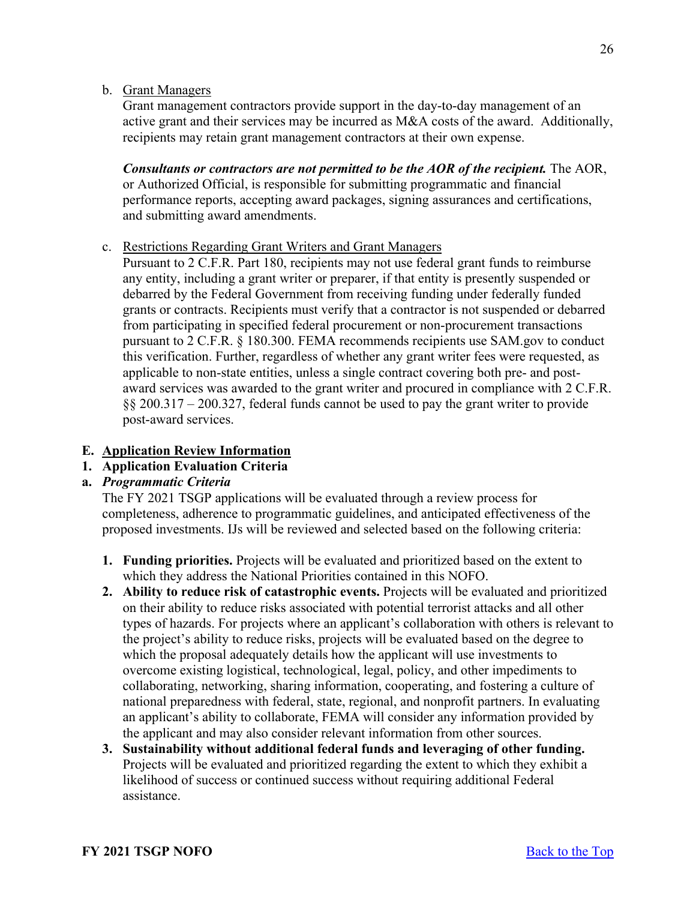### b. Grant Managers

Grant management contractors provide support in the day-to-day management of an active grant and their services may be incurred as M&A costs of the award. Additionally, recipients may retain grant management contractors at their own expense.

*Consultants or contractors are not permitted to be the AOR of the recipient.* The AOR, or Authorized Official, is responsible for submitting programmatic and financial performance reports, accepting award packages, signing assurances and certifications, and submitting award amendments.

#### c. Restrictions Regarding Grant Writers and Grant Managers

Pursuant to 2 C.F.R. Part 180, recipients may not use federal grant funds to reimburse any entity, including a grant writer or preparer, if that entity is presently suspended or debarred by the Federal Government from receiving funding under federally funded grants or contracts. Recipients must verify that a contractor is not suspended or debarred from participating in specified federal procurement or non-procurement transactions pursuant to 2 C.F.R. § 180.300. FEMA recommends recipients use SAM.gov to conduct this verification. Further, regardless of whether any grant writer fees were requested, as applicable to non-state entities, unless a single contract covering both pre- and postaward services was awarded to the grant writer and procured in compliance with 2 C.F.R. §§ 200.317 – 200.327, federal funds cannot be used to pay the grant writer to provide post-award services.

#### <span id="page-25-0"></span>**E. Application Review Information**

### <span id="page-25-1"></span>**1. Application Evaluation Criteria**

### **a.** *Programmatic Criteria*

The FY 2021 TSGP applications will be evaluated through a review process for completeness, adherence to programmatic guidelines, and anticipated effectiveness of the proposed investments. IJs will be reviewed and selected based on the following criteria:

- **1. Funding priorities.** Projects will be evaluated and prioritized based on the extent to which they address the National Priorities contained in this NOFO.
- **2. Ability to reduce risk of catastrophic events.** Projects will be evaluated and prioritized on their ability to reduce risks associated with potential terrorist attacks and all other types of hazards. For projects where an applicant's collaboration with others is relevant to the project's ability to reduce risks, projects will be evaluated based on the degree to which the proposal adequately details how the applicant will use investments to overcome existing logistical, technological, legal, policy, and other impediments to collaborating, networking, sharing information, cooperating, and fostering a culture of national preparedness with federal, state, regional, and nonprofit partners. In evaluating an applicant's ability to collaborate, FEMA will consider any information provided by the applicant and may also consider relevant information from other sources.
- **3. Sustainability without additional federal funds and leveraging of other funding.**  Projects will be evaluated and prioritized regarding the extent to which they exhibit a likelihood of success or continued success without requiring additional Federal assistance.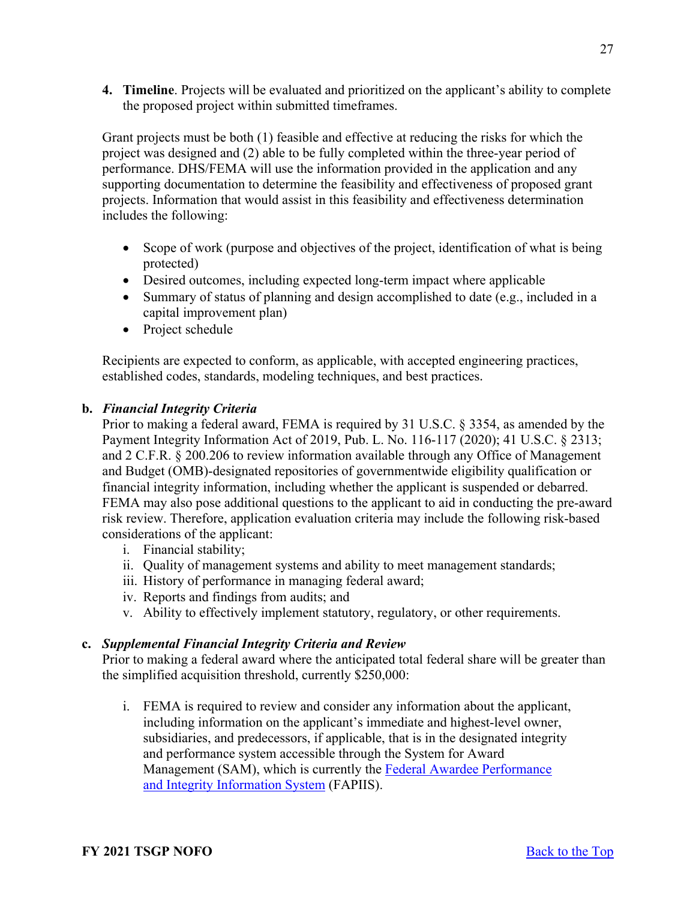**4. Timeline**. Projects will be evaluated and prioritized on the applicant's ability to complete the proposed project within submitted timeframes.

Grant projects must be both (1) feasible and effective at reducing the risks for which the project was designed and (2) able to be fully completed within the three-year period of performance. DHS/FEMA will use the information provided in the application and any supporting documentation to determine the feasibility and effectiveness of proposed grant projects. Information that would assist in this feasibility and effectiveness determination includes the following:

- Scope of work (purpose and objectives of the project, identification of what is being protected)
- Desired outcomes, including expected long-term impact where applicable
- Summary of status of planning and design accomplished to date (e.g., included in a capital improvement plan)
- Project schedule

Recipients are expected to conform, as applicable, with accepted engineering practices, established codes, standards, modeling techniques, and best practices.

# **b.** *Financial Integrity Criteria*

Prior to making a federal award, FEMA is required by 31 U.S.C. § 3354, as amended by the Payment Integrity Information Act of 2019, Pub. L. No. 116-117 (2020); 41 U.S.C. § 2313; and 2 C.F.R. § 200.206 to review information available through any Office of Management and Budget (OMB)-designated repositories of governmentwide eligibility qualification or financial integrity information, including whether the applicant is suspended or debarred. FEMA may also pose additional questions to the applicant to aid in conducting the pre-award risk review. Therefore, application evaluation criteria may include the following risk-based considerations of the applicant:

- i. Financial stability;
- ii. Quality of management systems and ability to meet management standards;
- iii. History of performance in managing federal award;
- iv. Reports and findings from audits; and
- v. Ability to effectively implement statutory, regulatory, or other requirements.

# **c.** *Supplemental Financial Integrity Criteria and Review*

Prior to making a federal award where the anticipated total federal share will be greater than the simplified acquisition threshold, currently \$250,000:

i. FEMA is required to review and consider any information about the applicant, including information on the applicant's immediate and highest-level owner, subsidiaries, and predecessors, if applicable, that is in the designated integrity and performance system accessible through the System for Award Management (SAM), which is currently the [Federal Awardee Performance](https://www.fapiis.gov/fapiis/index.action)  [and Integrity Information System](https://www.fapiis.gov/fapiis/index.action) (FAPIIS).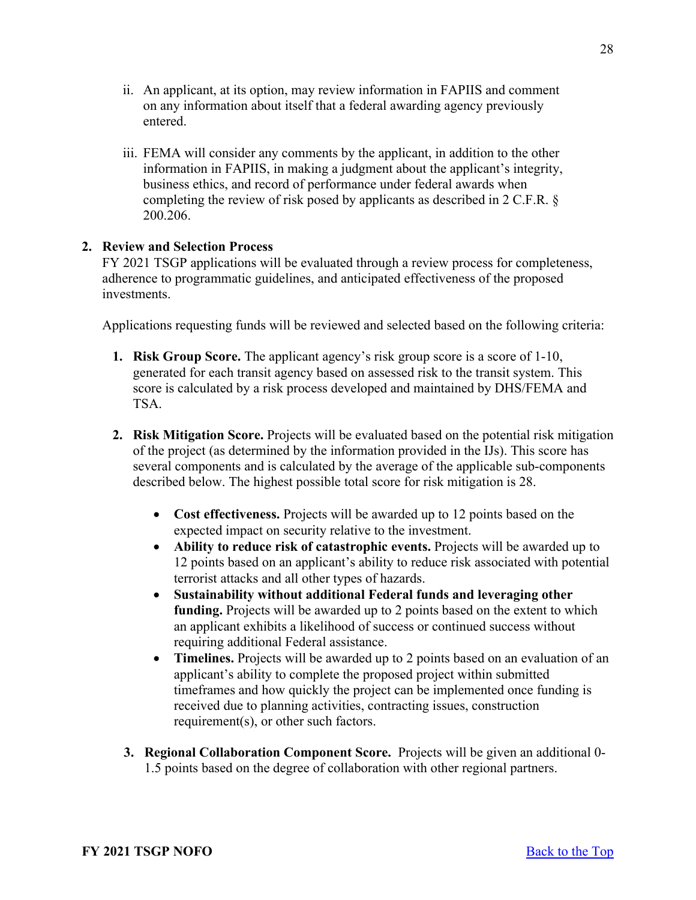- ii. An applicant, at its option, may review information in FAPIIS and comment on any information about itself that a federal awarding agency previously entered.
- iii. FEMA will consider any comments by the applicant, in addition to the other information in FAPIIS, in making a judgment about the applicant's integrity, business ethics, and record of performance under federal awards when completing the review of risk posed by applicants as described in 2 C.F.R. § 200.206.

### <span id="page-27-0"></span>**2. Review and Selection Process**

FY 2021 TSGP applications will be evaluated through a review process for completeness, adherence to programmatic guidelines, and anticipated effectiveness of the proposed investments.

Applications requesting funds will be reviewed and selected based on the following criteria:

- **1. Risk Group Score.** The applicant agency's risk group score is a score of 1-10, generated for each transit agency based on assessed risk to the transit system. This score is calculated by a risk process developed and maintained by DHS/FEMA and TSA.
- **2. Risk Mitigation Score.** Projects will be evaluated based on the potential risk mitigation of the project (as determined by the information provided in the IJs). This score has several components and is calculated by the average of the applicable sub-components described below. The highest possible total score for risk mitigation is 28.
	- **Cost effectiveness.** Projects will be awarded up to 12 points based on the expected impact on security relative to the investment.
	- **Ability to reduce risk of catastrophic events.** Projects will be awarded up to 12 points based on an applicant's ability to reduce risk associated with potential terrorist attacks and all other types of hazards.
	- **Sustainability without additional Federal funds and leveraging other funding.** Projects will be awarded up to 2 points based on the extent to which an applicant exhibits a likelihood of success or continued success without requiring additional Federal assistance.
	- **Timelines.** Projects will be awarded up to 2 points based on an evaluation of an applicant's ability to complete the proposed project within submitted timeframes and how quickly the project can be implemented once funding is received due to planning activities, contracting issues, construction requirement(s), or other such factors.
	- **3. Regional Collaboration Component Score.** Projects will be given an additional 0- 1.5 points based on the degree of collaboration with other regional partners.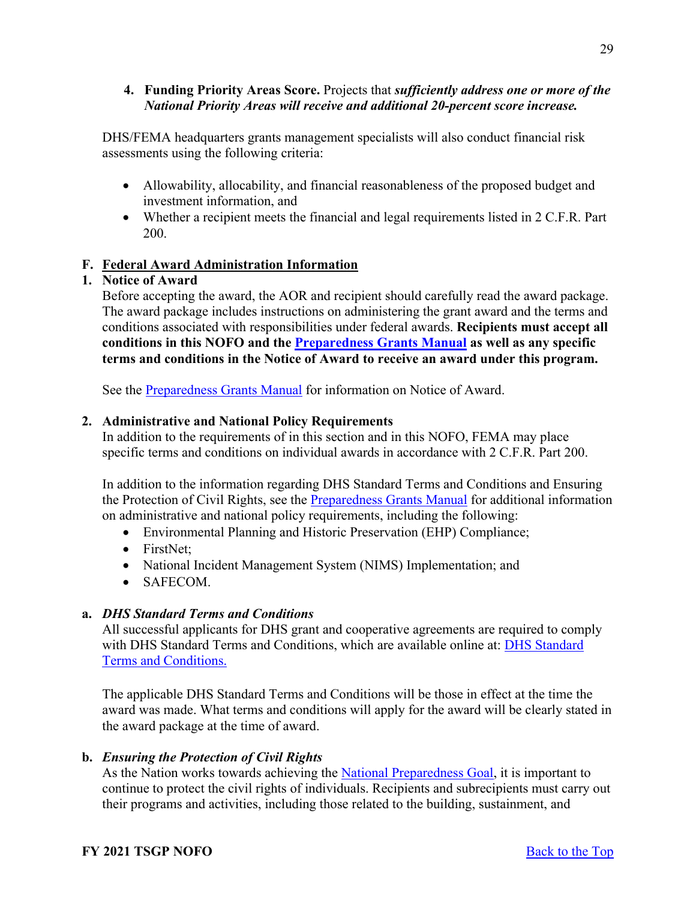### **4. Funding Priority Areas Score.** Projects that *sufficiently address one or more of the National Priority Areas will receive and additional 20-percent score increase.*

DHS/FEMA headquarters grants management specialists will also conduct financial risk assessments using the following criteria:

- Allowability, allocability, and financial reasonableness of the proposed budget and investment information, and
- Whether a recipient meets the financial and legal requirements listed in 2 C.F.R. Part 200.

### <span id="page-28-0"></span>**F. Federal Award Administration Information**

### <span id="page-28-1"></span>**1. Notice of Award**

Before accepting the award, the AOR and recipient should carefully read the award package. The award package includes instructions on administering the grant award and the terms and conditions associated with responsibilities under federal awards. **Recipients must accept all conditions in this NOFO and the [Preparedness Grants Manual](https://www.fema.gov/media-library/assets/documents/178291) as well as any specific terms and conditions in the Notice of Award to receive an award under this program.**

See the [Preparedness Grants Manual](https://www.fema.gov/media-library/assets/documents/178291) for information on Notice of Award.

### <span id="page-28-2"></span>**2. Administrative and National Policy Requirements**

In addition to the requirements of in this section and in this NOFO, FEMA may place specific terms and conditions on individual awards in accordance with 2 C.F.R. Part 200.

In addition to the information regarding DHS Standard Terms and Conditions and Ensuring the Protection of Civil Rights, see the [Preparedness Grants Manual](https://www.fema.gov/media-library/assets/documents/178291) for additional information on administrative and national policy requirements, including the following:

- Environmental Planning and Historic Preservation (EHP) Compliance;
- FirstNet:
- National Incident Management System (NIMS) Implementation; and
- SAFECOM.

### **a.** *DHS Standard Terms and Conditions*

All successful applicants for DHS grant and cooperative agreements are required to comply with [DHS Standard](http://www.dhs.gov/publication/fy15-dhs-standard-terms-and-conditions) Terms and Conditions, which are available online at: DHS Standard [Terms and Conditions.](http://www.dhs.gov/publication/fy15-dhs-standard-terms-and-conditions)

The applicable DHS Standard Terms and Conditions will be those in effect at the time the award was made. What terms and conditions will apply for the award will be clearly stated in the award package at the time of award.

### **b.** *Ensuring the Protection of Civil Rights*

As the Nation works towards achieving the [National Preparedness Goal,](https://www.fema.gov/national-preparedness-goal) it is important to continue to protect the civil rights of individuals. Recipients and subrecipients must carry out their programs and activities, including those related to the building, sustainment, and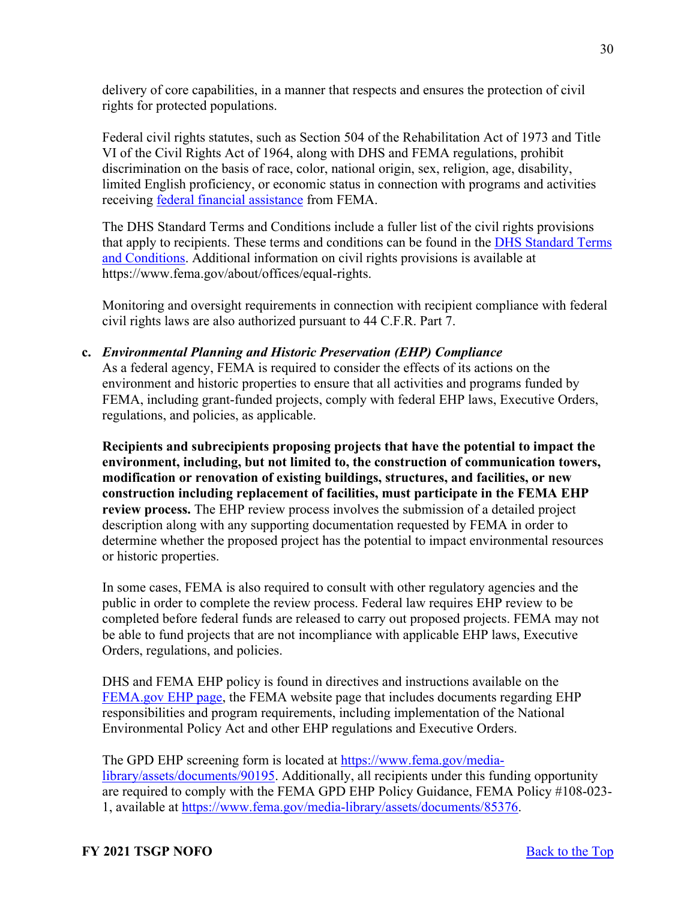delivery of core capabilities, in a manner that respects and ensures the protection of civil rights for protected populations.

Federal civil rights statutes, such as Section 504 of the Rehabilitation Act of 1973 and Title VI of the Civil Rights Act of 1964, along with DHS and FEMA regulations, prohibit discrimination on the basis of race, color, national origin, sex, religion, age, disability, limited English proficiency, or economic status in connection with programs and activities receiving [federal financial assistance](https://www.ecfr.gov/cgi-bin/text-idx?SID=5e41f4d1a74f253d602c5a7fdc4fc2d8&mc=true&node=se44.1.7_1913&rgn=div8) from FEMA.

The DHS Standard Terms and Conditions include a fuller list of the civil rights provisions that apply to recipients. These terms and conditions can be found in the [DHS Standard Terms](https://www.dhs.gov/publication/fy15-dhs-standard-terms-and-conditions)  [and Conditions.](https://www.dhs.gov/publication/fy15-dhs-standard-terms-and-conditions) Additional information on civil rights provisions is available at https://www.fema.gov/about/offices/equal-rights.

Monitoring and oversight requirements in connection with recipient compliance with federal civil rights laws are also authorized pursuant to 44 C.F.R. Part 7.

### **c.** *Environmental Planning and Historic Preservation (EHP) Compliance*

As a federal agency, FEMA is required to consider the effects of its actions on the environment and historic properties to ensure that all activities and programs funded by FEMA, including grant-funded projects, comply with federal EHP laws, Executive Orders, regulations, and policies, as applicable.

**Recipients and subrecipients proposing projects that have the potential to impact the environment, including, but not limited to, the construction of communication towers, modification or renovation of existing buildings, structures, and facilities, or new construction including replacement of facilities, must participate in the FEMA EHP review process.** The EHP review process involves the submission of a detailed project description along with any supporting documentation requested by FEMA in order to determine whether the proposed project has the potential to impact environmental resources or historic properties.

In some cases, FEMA is also required to consult with other regulatory agencies and the public in order to complete the review process. Federal law requires EHP review to be completed before federal funds are released to carry out proposed projects. FEMA may not be able to fund projects that are not incompliance with applicable EHP laws, Executive Orders, regulations, and policies.

DHS and FEMA EHP policy is found in directives and instructions available on the [FEMA.gov EHP page,](https://www.fema.gov/emergency-managers/practitioners/environmental-historic/laws) the FEMA website page that includes documents regarding EHP responsibilities and program requirements, including implementation of the National Environmental Policy Act and other EHP regulations and Executive Orders.

The GPD EHP screening form is located at [https://www.fema.gov/media](https://www.fema.gov/media-library/assets/documents/90195)[library/assets/documents/90195.](https://www.fema.gov/media-library/assets/documents/90195) Additionally, all recipients under this funding opportunity are required to comply with the FEMA GPD EHP Policy Guidance, FEMA Policy #108-023- 1, available at [https://www.fema.gov/media-library/assets/documents/85376.](https://www.fema.gov/media-library/assets/documents/85376)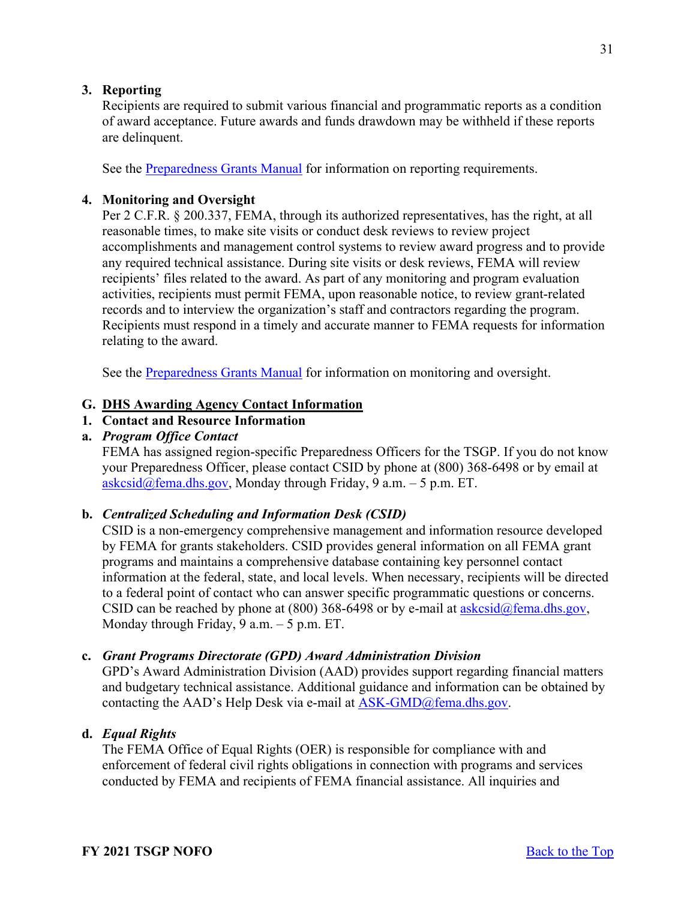# <span id="page-30-0"></span>**3. Reporting**

Recipients are required to submit various financial and programmatic reports as a condition of award acceptance. Future awards and funds drawdown may be withheld if these reports are delinquent.

See the [Preparedness Grants Manual](https://www.fema.gov/media-library/assets/documents/178291) for information on reporting requirements.

### <span id="page-30-1"></span>**4. Monitoring and Oversight**

Per 2 C.F.R. § 200.337, FEMA, through its authorized representatives, has the right, at all reasonable times, to make site visits or conduct desk reviews to review project accomplishments and management control systems to review award progress and to provide any required technical assistance. During site visits or desk reviews, FEMA will review recipients' files related to the award. As part of any monitoring and program evaluation activities, recipients must permit FEMA, upon reasonable notice, to review grant-related records and to interview the organization's staff and contractors regarding the program. Recipients must respond in a timely and accurate manner to FEMA requests for information relating to the award.

See the [Preparedness Grants Manual](https://www.fema.gov/media-library/assets/documents/178291) for information on monitoring and oversight.

#### <span id="page-30-2"></span>**G. DHS Awarding Agency Contact Information**

# <span id="page-30-3"></span>**1. Contact and Resource Information**

### **a.** *Program Office Contact*

FEMA has assigned region-specific Preparedness Officers for the TSGP. If you do not know your Preparedness Officer, please contact CSID by phone at (800) 368-6498 or by email at  $askcsid@fema.dhs.gov$ , Monday through Friday, 9 a.m. – 5 p.m. ET.

#### **b.** *Centralized Scheduling and Information Desk (CSID)*

CSID is a non-emergency comprehensive management and information resource developed by FEMA for grants stakeholders. CSID provides general information on all FEMA grant programs and maintains a comprehensive database containing key personnel contact information at the federal, state, and local levels. When necessary, recipients will be directed to a federal point of contact who can answer specific programmatic questions or concerns. CSID can be reached by phone at (800) 368-6498 or by e-mail at  $a$ skcsid $\omega$ fema.dhs.gov, Monday through Friday, 9 a.m. – 5 p.m. ET.

#### **c.** *Grant Programs Directorate (GPD) Award Administration Division*

GPD's Award Administration Division (AAD) provides support regarding financial matters and budgetary technical assistance. Additional guidance and information can be obtained by contacting the AAD's Help Desk via e-mail at  $ASK\text{-}GMD@fema.dhs.gov$ .

### **d.** *Equal Rights*

The FEMA Office of Equal Rights (OER) is responsible for compliance with and enforcement of federal civil rights obligations in connection with programs and services conducted by FEMA and recipients of FEMA financial assistance. All inquiries and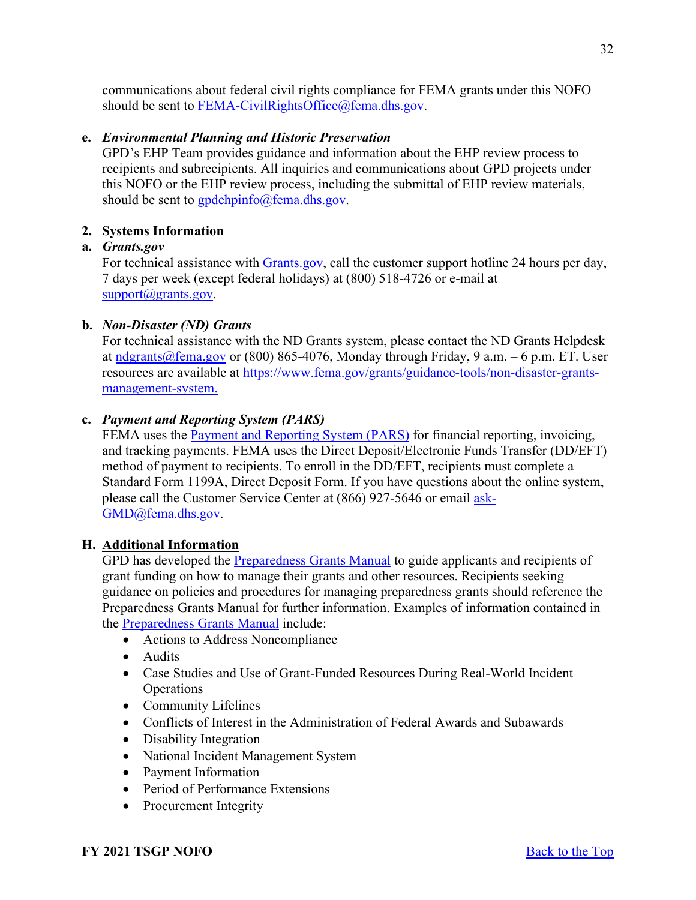communications about federal civil rights compliance for FEMA grants under this NOFO should be sent to [FEMA-CivilRightsOffice@fema.dhs.gov.](mailto:FEMA-CivilRightsOffice@fema.dhs.gov)

### **e.** *Environmental Planning and Historic Preservation*

GPD's EHP Team provides guidance and information about the EHP review process to recipients and subrecipients. All inquiries and communications about GPD projects under this NOFO or the EHP review process, including the submittal of EHP review materials, should be sent to  $\frac{\text{gpdehpinfo}}{\text{gpmfo}}$  fema.dhs.gov.

### <span id="page-31-0"></span>**2. Systems Information**

### **a.** *Grants.gov*

For technical assistance with [Grants.gov,](https://www.grants.gov/forms/sf-424-family.html) call the customer support hotline 24 hours per day, 7 days per week (except federal holidays) at (800) 518-4726 or e-mail at [support@grants.gov.](mailto:support@grants.gov)

### **b.** *Non-Disaster (ND) Grants*

For technical assistance with the ND Grants system, please contact the ND Grants Helpdesk at  $ndgrants@fema.gov$  or (800) 865-4076, Monday through Friday, 9 a.m. – 6 p.m. ET. User</u> resources are available at [https://www.fema.gov/grants/guidance-tools/non-disaster-grants](https://www.fema.gov/grants/guidance-tools/non-disaster-grants-management-system)[management-system.](https://www.fema.gov/grants/guidance-tools/non-disaster-grants-management-system)

### **c.** *Payment and Reporting System (PARS)*

FEMA uses the [Payment and Reporting System \(PARS\)](https://isource.fema.gov/sf269/execute/LogIn?sawContentMessage=true) for financial reporting, invoicing, and tracking payments. FEMA uses the Direct Deposit/Electronic Funds Transfer (DD/EFT) method of payment to recipients. To enroll in the DD/EFT, recipients must complete a Standard Form 1199A, Direct Deposit Form. If you have questions about the online system, please call the Customer Service Center at (866) 927-5646 or email [ask-](mailto:ask-GMD@fema.dhs.gov)[GMD@fema.dhs.gov.](mailto:ask-GMD@fema.dhs.gov)

### <span id="page-31-1"></span>**H. Additional Information**

GPD has developed the [Preparedness Grants Manual](https://www.fema.gov/media-library/assets/documents/178291) to guide applicants and recipients of grant funding on how to manage their grants and other resources. Recipients seeking guidance on policies and procedures for managing preparedness grants should reference the Preparedness Grants Manual for further information. Examples of information contained in the [Preparedness Grants Manual](https://www.fema.gov/media-library/assets/documents/178291) include:

- Actions to Address Noncompliance
- Audits
- Case Studies and Use of Grant-Funded Resources During Real-World Incident **Operations**
- Community Lifelines
- Conflicts of Interest in the Administration of Federal Awards and Subawards
- Disability Integration
- National Incident Management System
- Payment Information
- Period of Performance Extensions
- Procurement Integrity